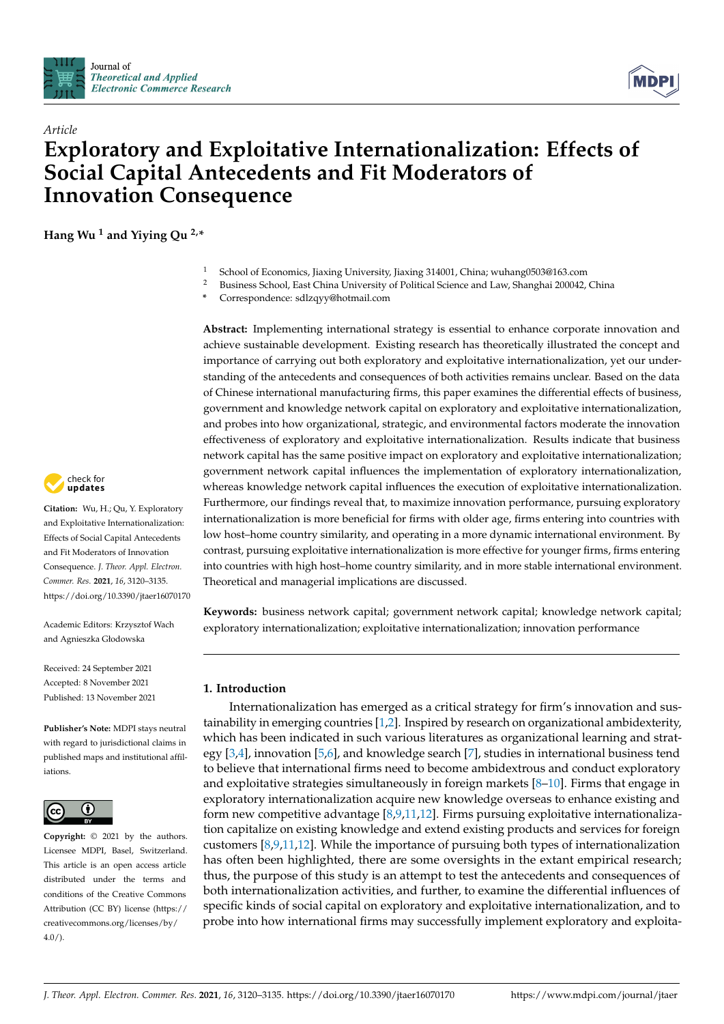



# *Article* **Exploratory and Exploitative Internationalization: Effects of Social Capital Antecedents and Fit Moderators of Innovation Consequence**

**Hang Wu <sup>1</sup> and Yiying Qu 2,\***

- 1 School of Economics, Jiaxing University, Jiaxing 314001, China; wuhang0503@163.com<br>2 Business School, East China University of Political Science and Law Shanghai 200042
- <sup>2</sup> Business School, East China University of Political Science and Law, Shanghai 200042, China
- **\*** Correspondence: sdlzqyy@hotmail.com

**Abstract:** Implementing international strategy is essential to enhance corporate innovation and achieve sustainable development. Existing research has theoretically illustrated the concept and importance of carrying out both exploratory and exploitative internationalization, yet our understanding of the antecedents and consequences of both activities remains unclear. Based on the data of Chinese international manufacturing firms, this paper examines the differential effects of business, government and knowledge network capital on exploratory and exploitative internationalization, and probes into how organizational, strategic, and environmental factors moderate the innovation effectiveness of exploratory and exploitative internationalization. Results indicate that business network capital has the same positive impact on exploratory and exploitative internationalization; government network capital influences the implementation of exploratory internationalization, whereas knowledge network capital influences the execution of exploitative internationalization. Furthermore, our findings reveal that, to maximize innovation performance, pursuing exploratory internationalization is more beneficial for firms with older age, firms entering into countries with low host–home country similarity, and operating in a more dynamic international environment. By contrast, pursuing exploitative internationalization is more effective for younger firms, firms entering into countries with high host–home country similarity, and in more stable international environment. Theoretical and managerial implications are discussed.

**Keywords:** business network capital; government network capital; knowledge network capital; exploratory internationalization; exploitative internationalization; innovation performance

# **1. Introduction**

Internationalization has emerged as a critical strategy for firm's innovation and sustainability in emerging countries [\[1,](#page-14-0)[2\]](#page-14-1). Inspired by research on organizational ambidexterity, which has been indicated in such various literatures as organizational learning and strategy [\[3](#page-14-2)[,4\]](#page-14-3), innovation [\[5,](#page-14-4)[6\]](#page-14-5), and knowledge search [\[7\]](#page-14-6), studies in international business tend to believe that international firms need to become ambidextrous and conduct exploratory and exploitative strategies simultaneously in foreign markets [\[8–](#page-14-7)[10\]](#page-14-8). Firms that engage in exploratory internationalization acquire new knowledge overseas to enhance existing and form new competitive advantage [\[8,](#page-14-7)[9](#page-14-9)[,11](#page-14-10)[,12\]](#page-14-11). Firms pursuing exploitative internationalization capitalize on existing knowledge and extend existing products and services for foreign customers [\[8,](#page-14-7)[9](#page-14-9)[,11](#page-14-10)[,12\]](#page-14-11). While the importance of pursuing both types of internationalization has often been highlighted, there are some oversights in the extant empirical research; thus, the purpose of this study is an attempt to test the antecedents and consequences of both internationalization activities, and further, to examine the differential influences of specific kinds of social capital on exploratory and exploitative internationalization, and to probe into how international firms may successfully implement exploratory and exploita-



**Citation:** Wu, H.; Qu, Y. Exploratory and Exploitative Internationalization: Effects of Social Capital Antecedents and Fit Moderators of Innovation Consequence. *J. Theor. Appl. Electron. Commer. Res.* **2021**, *16*, 3120–3135. <https://doi.org/10.3390/jtaer16070170>

Academic Editors: Krzysztof Wach and Agnieszka Głodowska

Received: 24 September 2021 Accepted: 8 November 2021 Published: 13 November 2021

**Publisher's Note:** MDPI stays neutral with regard to jurisdictional claims in published maps and institutional affiliations.



**Copyright:** © 2021 by the authors. Licensee MDPI, Basel, Switzerland. This article is an open access article distributed under the terms and conditions of the Creative Commons Attribution (CC BY) license (https:/[/](https://creativecommons.org/licenses/by/4.0/) [creativecommons.org/licenses/by/](https://creativecommons.org/licenses/by/4.0/) 4.0/).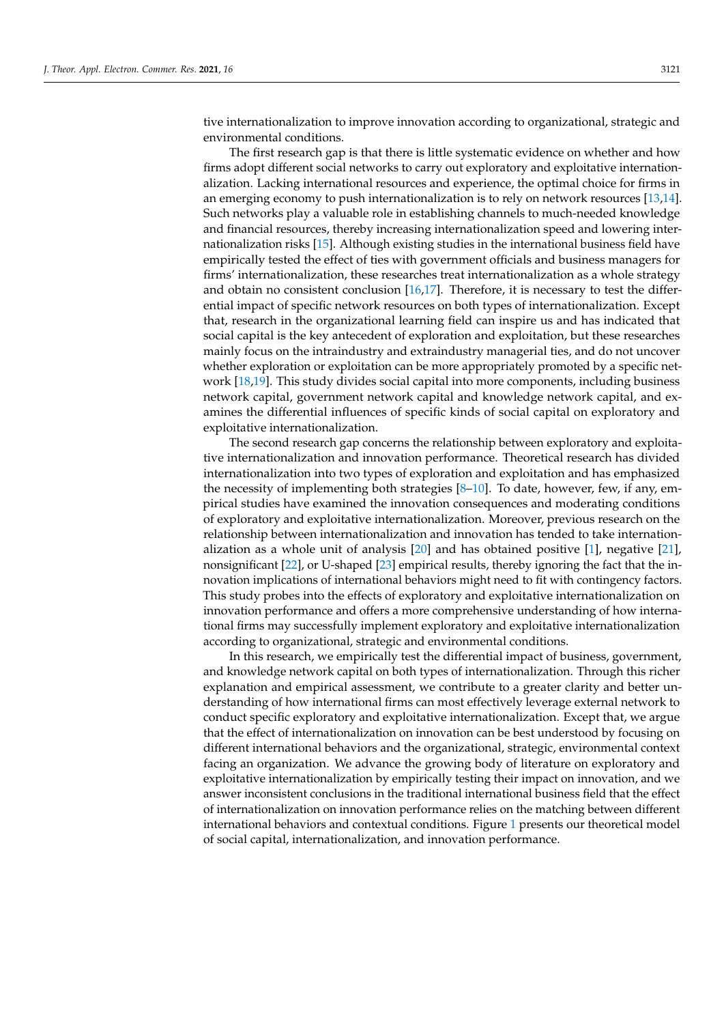tive internationalization to improve innovation according to organizational, strategic and environmental conditions.

The first research gap is that there is little systematic evidence on whether and how firms adopt different social networks to carry out exploratory and exploitative internationalization. Lacking international resources and experience, the optimal choice for firms in an emerging economy to push internationalization is to rely on network resources [\[13](#page-14-12)[,14\]](#page-14-13). Such networks play a valuable role in establishing channels to much-needed knowledge and financial resources, thereby increasing internationalization speed and lowering internationalization risks [\[15\]](#page-14-14). Although existing studies in the international business field have empirically tested the effect of ties with government officials and business managers for firms' internationalization, these researches treat internationalization as a whole strategy and obtain no consistent conclusion  $[16,17]$  $[16,17]$ . Therefore, it is necessary to test the differential impact of specific network resources on both types of internationalization. Except that, research in the organizational learning field can inspire us and has indicated that social capital is the key antecedent of exploration and exploitation, but these researches mainly focus on the intraindustry and extraindustry managerial ties, and do not uncover whether exploration or exploitation can be more appropriately promoted by a specific network [\[18,](#page-14-17)[19\]](#page-14-18). This study divides social capital into more components, including business network capital, government network capital and knowledge network capital, and examines the differential influences of specific kinds of social capital on exploratory and exploitative internationalization.

The second research gap concerns the relationship between exploratory and exploitative internationalization and innovation performance. Theoretical research has divided internationalization into two types of exploration and exploitation and has emphasized the necessity of implementing both strategies [\[8–](#page-14-7)[10\]](#page-14-8). To date, however, few, if any, empirical studies have examined the innovation consequences and moderating conditions of exploratory and exploitative internationalization. Moreover, previous research on the relationship between internationalization and innovation has tended to take internationalization as a whole unit of analysis [\[20\]](#page-14-19) and has obtained positive [\[1\]](#page-14-0), negative [\[21\]](#page-14-20), nonsignificant [\[22\]](#page-14-21), or U-shaped [\[23\]](#page-14-22) empirical results, thereby ignoring the fact that the innovation implications of international behaviors might need to fit with contingency factors. This study probes into the effects of exploratory and exploitative internationalization on innovation performance and offers a more comprehensive understanding of how international firms may successfully implement exploratory and exploitative internationalization according to organizational, strategic and environmental conditions.

In this research, we empirically test the differential impact of business, government, and knowledge network capital on both types of internationalization. Through this richer explanation and empirical assessment, we contribute to a greater clarity and better understanding of how international firms can most effectively leverage external network to conduct specific exploratory and exploitative internationalization. Except that, we argue that the effect of internationalization on innovation can be best understood by focusing on different international behaviors and the organizational, strategic, environmental context facing an organization. We advance the growing body of literature on exploratory and exploitative internationalization by empirically testing their impact on innovation, and we answer inconsistent conclusions in the traditional international business field that the effect of internationalization on innovation performance relies on the matching between different international behaviors and contextual conditions. Figure [1](#page-2-0) presents our theoretical model of social capital, internationalization, and innovation performance.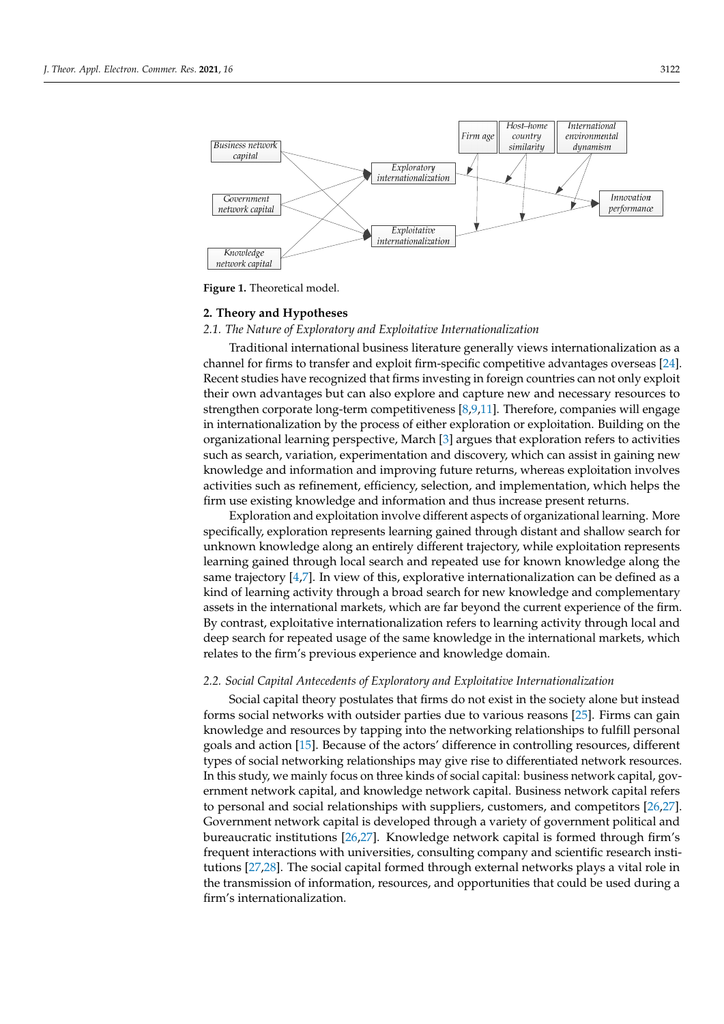<span id="page-2-0"></span>

**Figure 1.** Theoretical model. **Figure 1.** Theoretical model.

# **2. Theory and Hypotheses 2. Theory and Hypotheses**

# *2.1. The Nature of Exploratory and Exploitative Internationalization 2.1. The Nature of Exploratory and Exploitative Internationalization*

Traditional international business literature generally views internationalization as a channel for firms to transfer and exploit firm-specific competitive advantages overseas [\[24\]](#page-14-23). channel for firms to transfer and exploit firm-specific competitive advantages overseas Recent studies have recognized that firms investing in foreign countries can not only exploit their own advantages but can also explore and capture new and necessary resources to strengthen corporate long-term competitiveness [\[8](#page-14-7)[,9,](#page-14-9)[11\]](#page-14-10). Therefore, companies will engage in internationalization by the process of either exploration or exploitation. Building on the organizational learning perspective, March [\[3\]](#page-14-2) argues that exploration refers to activities such as search, variation, experimentation and discovery, which can assist in gaining new knowledge and information and improving future returns, whereas exploitation involves activities such as refinement, efficiency, selection, and implementation, which helps the firm use existing knowledge and information and thus increase present returns. Traditional international business literature generally views internationalization as a

Exploration and exploitation involve different aspects of organizational learning. More specifically, exploration represents learning gained through distant and shallow search for unknown knowledge along an entirely different trajectory, while exploitation represents learning gained through local search and repeated use for known knowledge along the same trajectory [\[4,](#page-14-3)[7\]](#page-14-6). In view of this, explorative internationalization can be defined as a kind of learning activity through a broad search for new knowledge and complementary assets in the international markets, which are far beyond the current experience of the firm. By contrast, exploitative internationalization refers to learning activity through local and deep search for repeated usage of the same knowledge in the international markets, which relates to the firm's previous experience and knowledge domain.

# through local and deep search for repeated usage of the same knowledge in the interna-*2.2. Social Capital Antecedents of Exploratory and Exploitative Internationalization*

Social capital theory postulates that firms do not exist in the society alone but instead *2.2. Forms social networks with outsider parties due to various reasons [\[25\]](#page-14-24). Firms can gain***<br>diagrams of Parties due to various reasons [25]. Firms can gain** goals and action [\[15\]](#page-14-14). Because of the actors' difference in controlling resources, different  $\breve{\rm{e}}$ ypes of social networking relationships may give rise to differentiated network resources. In this study, we mainly focus on three kinds of social capital: business network capital, government network capital, and knowledge network capital. Business network capital refers to personal and social relationships with suppliers, customers, and competitors [\[26,](#page-14-25)[27\]](#page-14-26). Government network capital is developed through a variety of government political and bureaucratic institutions [26,27]. Knowledge network ca[pita](#page-14-25)l is formed through firm's frequent interactions with universities, consulting company and scientific research insti-tutions [\[27,](#page-14-26)[28\]](#page-14-27). The social capital formed through external networks plays a vital role in the transmission of information, resources, and opportunities that could be used during a firm's internationalization. knowledge and resources by tapping into the networking relationships to fulfill personal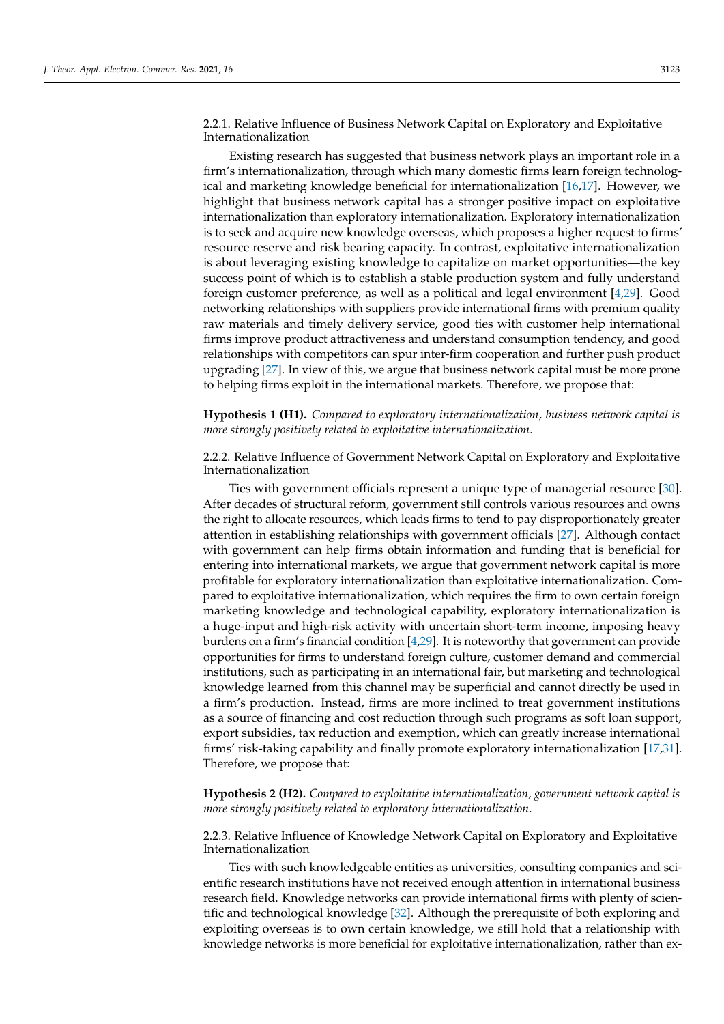2.2.1. Relative Influence of Business Network Capital on Exploratory and Exploitative Internationalization

Existing research has suggested that business network plays an important role in a firm's internationalization, through which many domestic firms learn foreign technological and marketing knowledge beneficial for internationalization [\[16](#page-14-15)[,17\]](#page-14-16). However, we highlight that business network capital has a stronger positive impact on exploitative internationalization than exploratory internationalization. Exploratory internationalization is to seek and acquire new knowledge overseas, which proposes a higher request to firms' resource reserve and risk bearing capacity. In contrast, exploitative internationalization is about leveraging existing knowledge to capitalize on market opportunities—the key success point of which is to establish a stable production system and fully understand foreign customer preference, as well as a political and legal environment [\[4,](#page-14-3)[29\]](#page-15-0). Good networking relationships with suppliers provide international firms with premium quality raw materials and timely delivery service, good ties with customer help international firms improve product attractiveness and understand consumption tendency, and good relationships with competitors can spur inter-firm cooperation and further push product upgrading [\[27\]](#page-14-26). In view of this, we argue that business network capital must be more prone to helping firms exploit in the international markets. Therefore, we propose that:

**Hypothesis 1 (H1).** *Compared to exploratory internationalization, business network capital is more strongly positively related to exploitative internationalization*.

2.2.2. Relative Influence of Government Network Capital on Exploratory and Exploitative Internationalization

Ties with government officials represent a unique type of managerial resource [\[30\]](#page-15-1). After decades of structural reform, government still controls various resources and owns the right to allocate resources, which leads firms to tend to pay disproportionately greater attention in establishing relationships with government officials [\[27\]](#page-14-26). Although contact with government can help firms obtain information and funding that is beneficial for entering into international markets, we argue that government network capital is more profitable for exploratory internationalization than exploitative internationalization. Compared to exploitative internationalization, which requires the firm to own certain foreign marketing knowledge and technological capability, exploratory internationalization is a huge-input and high-risk activity with uncertain short-term income, imposing heavy burdens on a firm's financial condition [\[4,](#page-14-3)[29\]](#page-15-0). It is noteworthy that government can provide opportunities for firms to understand foreign culture, customer demand and commercial institutions, such as participating in an international fair, but marketing and technological knowledge learned from this channel may be superficial and cannot directly be used in a firm's production. Instead, firms are more inclined to treat government institutions as a source of financing and cost reduction through such programs as soft loan support, export subsidies, tax reduction and exemption, which can greatly increase international firms' risk-taking capability and finally promote exploratory internationalization [\[17,](#page-14-16)[31\]](#page-15-2). Therefore, we propose that:

**Hypothesis 2 (H2).** *Compared to exploitative internationalization, government network capital is more strongly positively related to exploratory internationalization*.

2.2.3. Relative Influence of Knowledge Network Capital on Exploratory and Exploitative Internationalization

Ties with such knowledgeable entities as universities, consulting companies and scientific research institutions have not received enough attention in international business research field. Knowledge networks can provide international firms with plenty of scientific and technological knowledge [\[32\]](#page-15-3). Although the prerequisite of both exploring and exploiting overseas is to own certain knowledge, we still hold that a relationship with knowledge networks is more beneficial for exploitative internationalization, rather than ex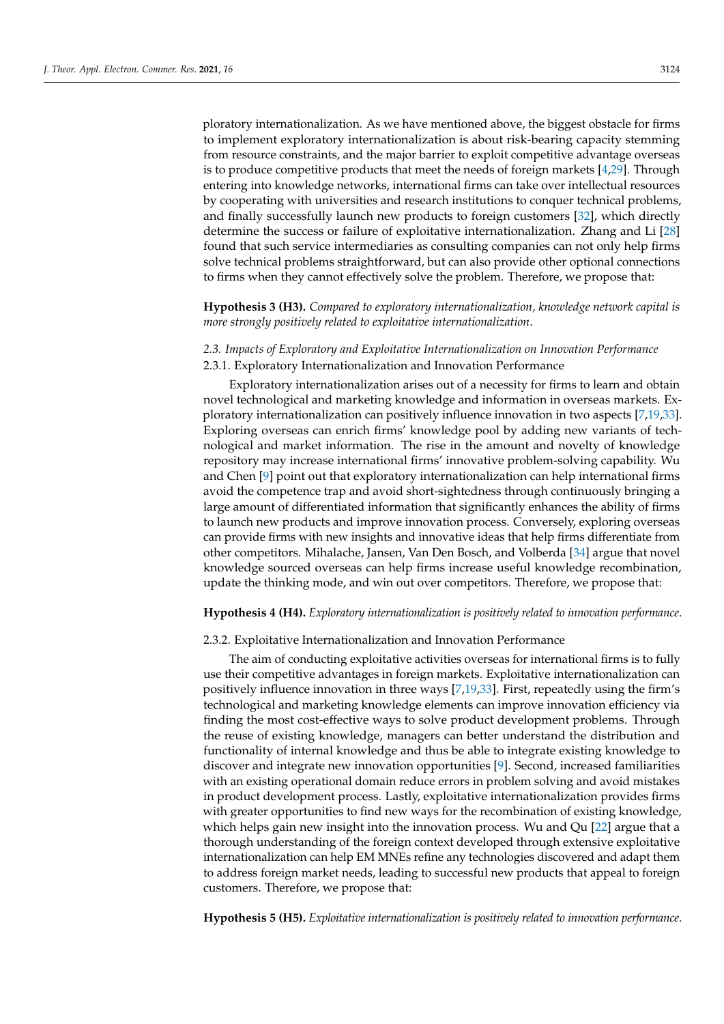ploratory internationalization. As we have mentioned above, the biggest obstacle for firms to implement exploratory internationalization is about risk-bearing capacity stemming from resource constraints, and the major barrier to exploit competitive advantage overseas is to produce competitive products that meet the needs of foreign markets  $[4,29]$  $[4,29]$ . Through entering into knowledge networks, international firms can take over intellectual resources by cooperating with universities and research institutions to conquer technical problems, and finally successfully launch new products to foreign customers [\[32\]](#page-15-3), which directly determine the success or failure of exploitative internationalization. Zhang and Li [\[28\]](#page-14-27) found that such service intermediaries as consulting companies can not only help firms solve technical problems straightforward, but can also provide other optional connections to firms when they cannot effectively solve the problem. Therefore, we propose that:

**Hypothesis 3 (H3).** *Compared to exploratory internationalization, knowledge network capital is more strongly positively related to exploitative internationalization*.

# *2.3. Impacts of Exploratory and Exploitative Internationalization on Innovation Performance* 2.3.1. Exploratory Internationalization and Innovation Performance

Exploratory internationalization arises out of a necessity for firms to learn and obtain novel technological and marketing knowledge and information in overseas markets. Exploratory internationalization can positively influence innovation in two aspects [\[7](#page-14-6)[,19](#page-14-18)[,33\]](#page-15-4). Exploring overseas can enrich firms' knowledge pool by adding new variants of technological and market information. The rise in the amount and novelty of knowledge repository may increase international firms' innovative problem-solving capability. Wu and Chen [\[9\]](#page-14-9) point out that exploratory internationalization can help international firms avoid the competence trap and avoid short-sightedness through continuously bringing a large amount of differentiated information that significantly enhances the ability of firms to launch new products and improve innovation process. Conversely, exploring overseas can provide firms with new insights and innovative ideas that help firms differentiate from other competitors. Mihalache, Jansen, Van Den Bosch, and Volberda [\[34\]](#page-15-5) argue that novel knowledge sourced overseas can help firms increase useful knowledge recombination, update the thinking mode, and win out over competitors. Therefore, we propose that:

#### **Hypothesis 4 (H4).** *Exploratory internationalization is positively related to innovation performance*.

#### 2.3.2. Exploitative Internationalization and Innovation Performance

The aim of conducting exploitative activities overseas for international firms is to fully use their competitive advantages in foreign markets. Exploitative internationalization can positively influence innovation in three ways [\[7](#page-14-6)[,19,](#page-14-18)[33\]](#page-15-4). First, repeatedly using the firm's technological and marketing knowledge elements can improve innovation efficiency via finding the most cost-effective ways to solve product development problems. Through the reuse of existing knowledge, managers can better understand the distribution and functionality of internal knowledge and thus be able to integrate existing knowledge to discover and integrate new innovation opportunities [\[9\]](#page-14-9). Second, increased familiarities with an existing operational domain reduce errors in problem solving and avoid mistakes in product development process. Lastly, exploitative internationalization provides firms with greater opportunities to find new ways for the recombination of existing knowledge, which helps gain new insight into the innovation process. Wu and Qu [\[22\]](#page-14-21) argue that a thorough understanding of the foreign context developed through extensive exploitative internationalization can help EM MNEs refine any technologies discovered and adapt them to address foreign market needs, leading to successful new products that appeal to foreign customers. Therefore, we propose that:

**Hypothesis 5 (H5).** *Exploitative internationalization is positively related to innovation performance*.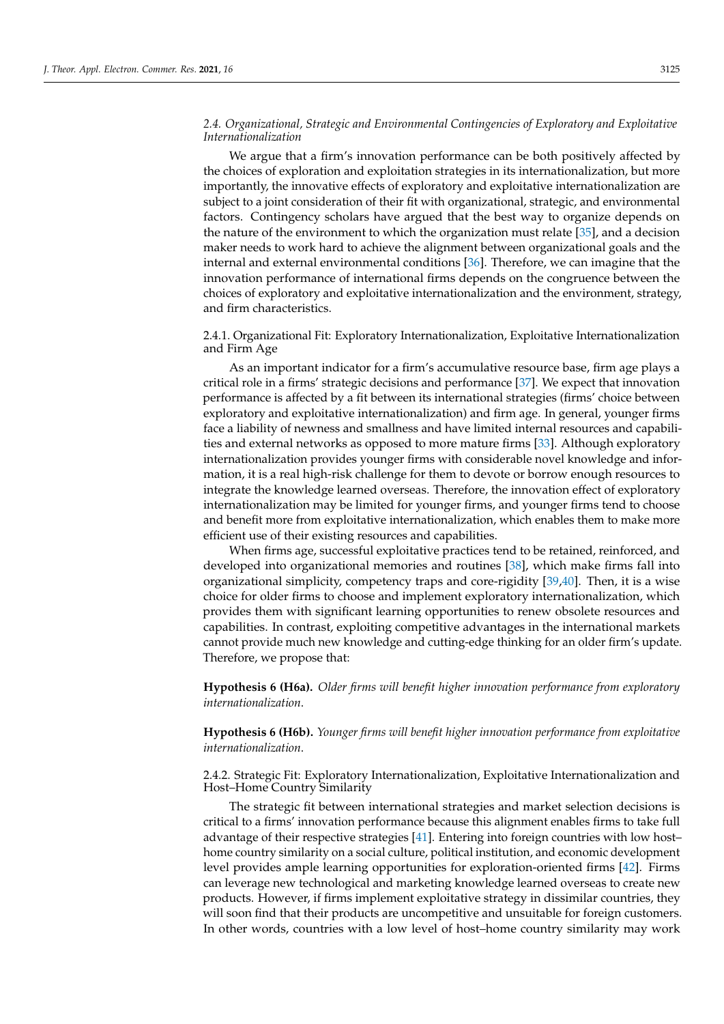# *2.4. Organizational, Strategic and Environmental Contingencies of Exploratory and Exploitative Internationalization*

We argue that a firm's innovation performance can be both positively affected by the choices of exploration and exploitation strategies in its internationalization, but more importantly, the innovative effects of exploratory and exploitative internationalization are subject to a joint consideration of their fit with organizational, strategic, and environmental factors. Contingency scholars have argued that the best way to organize depends on the nature of the environment to which the organization must relate [\[35\]](#page-15-6), and a decision maker needs to work hard to achieve the alignment between organizational goals and the internal and external environmental conditions [\[36\]](#page-15-7). Therefore, we can imagine that the innovation performance of international firms depends on the congruence between the choices of exploratory and exploitative internationalization and the environment, strategy, and firm characteristics.

2.4.1. Organizational Fit: Exploratory Internationalization, Exploitative Internationalization and Firm Age

As an important indicator for a firm's accumulative resource base, firm age plays a critical role in a firms' strategic decisions and performance [\[37\]](#page-15-8). We expect that innovation performance is affected by a fit between its international strategies (firms' choice between exploratory and exploitative internationalization) and firm age. In general, younger firms face a liability of newness and smallness and have limited internal resources and capabilities and external networks as opposed to more mature firms [\[33\]](#page-15-4). Although exploratory internationalization provides younger firms with considerable novel knowledge and information, it is a real high-risk challenge for them to devote or borrow enough resources to integrate the knowledge learned overseas. Therefore, the innovation effect of exploratory internationalization may be limited for younger firms, and younger firms tend to choose and benefit more from exploitative internationalization, which enables them to make more efficient use of their existing resources and capabilities.

When firms age, successful exploitative practices tend to be retained, reinforced, and developed into organizational memories and routines [\[38\]](#page-15-9), which make firms fall into organizational simplicity, competency traps and core-rigidity [\[39,](#page-15-10)[40\]](#page-15-11). Then, it is a wise choice for older firms to choose and implement exploratory internationalization, which provides them with significant learning opportunities to renew obsolete resources and capabilities. In contrast, exploiting competitive advantages in the international markets cannot provide much new knowledge and cutting-edge thinking for an older firm's update. Therefore, we propose that:

**Hypothesis 6 (H6a).** *Older firms will benefit higher innovation performance from exploratory internationalization*.

**Hypothesis 6 (H6b).** *Younger firms will benefit higher innovation performance from exploitative internationalization*.

2.4.2. Strategic Fit: Exploratory Internationalization, Exploitative Internationalization and Host–Home Country Similarity

The strategic fit between international strategies and market selection decisions is critical to a firms' innovation performance because this alignment enables firms to take full advantage of their respective strategies [\[41\]](#page-15-12). Entering into foreign countries with low host– home country similarity on a social culture, political institution, and economic development level provides ample learning opportunities for exploration-oriented firms [\[42\]](#page-15-13). Firms can leverage new technological and marketing knowledge learned overseas to create new products. However, if firms implement exploitative strategy in dissimilar countries, they will soon find that their products are uncompetitive and unsuitable for foreign customers. In other words, countries with a low level of host–home country similarity may work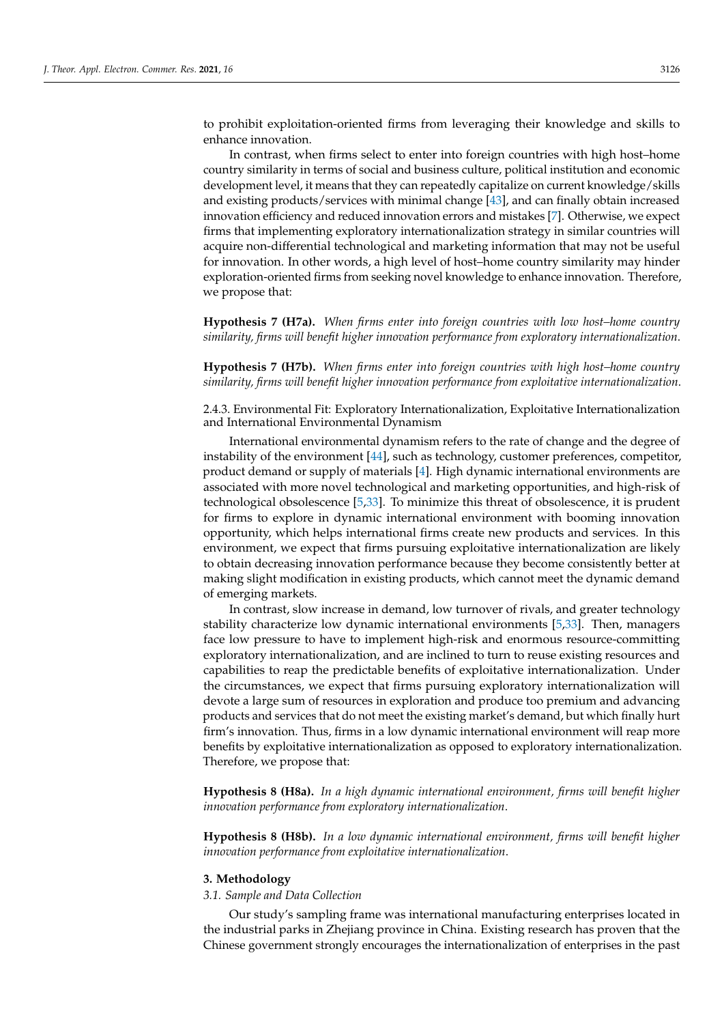to prohibit exploitation-oriented firms from leveraging their knowledge and skills to enhance innovation.

In contrast, when firms select to enter into foreign countries with high host–home country similarity in terms of social and business culture, political institution and economic development level, it means that they can repeatedly capitalize on current knowledge/skills and existing products/services with minimal change [\[43\]](#page-15-14), and can finally obtain increased innovation efficiency and reduced innovation errors and mistakes [\[7\]](#page-14-6). Otherwise, we expect firms that implementing exploratory internationalization strategy in similar countries will acquire non-differential technological and marketing information that may not be useful for innovation. In other words, a high level of host–home country similarity may hinder exploration-oriented firms from seeking novel knowledge to enhance innovation. Therefore, we propose that:

**Hypothesis 7 (H7a).** *When firms enter into foreign countries with low host–home country similarity, firms will benefit higher innovation performance from exploratory internationalization*.

**Hypothesis 7 (H7b).** *When firms enter into foreign countries with high host–home country similarity, firms will benefit higher innovation performance from exploitative internationalization*.

2.4.3. Environmental Fit: Exploratory Internationalization, Exploitative Internationalization and International Environmental Dynamism

International environmental dynamism refers to the rate of change and the degree of instability of the environment [\[44\]](#page-15-15), such as technology, customer preferences, competitor, product demand or supply of materials [\[4\]](#page-14-3). High dynamic international environments are associated with more novel technological and marketing opportunities, and high-risk of technological obsolescence [\[5](#page-14-4)[,33\]](#page-15-4). To minimize this threat of obsolescence, it is prudent for firms to explore in dynamic international environment with booming innovation opportunity, which helps international firms create new products and services. In this environment, we expect that firms pursuing exploitative internationalization are likely to obtain decreasing innovation performance because they become consistently better at making slight modification in existing products, which cannot meet the dynamic demand of emerging markets.

In contrast, slow increase in demand, low turnover of rivals, and greater technology stability characterize low dynamic international environments [\[5](#page-14-4)[,33\]](#page-15-4). Then, managers face low pressure to have to implement high-risk and enormous resource-committing exploratory internationalization, and are inclined to turn to reuse existing resources and capabilities to reap the predictable benefits of exploitative internationalization. Under the circumstances, we expect that firms pursuing exploratory internationalization will devote a large sum of resources in exploration and produce too premium and advancing products and services that do not meet the existing market's demand, but which finally hurt firm's innovation. Thus, firms in a low dynamic international environment will reap more benefits by exploitative internationalization as opposed to exploratory internationalization. Therefore, we propose that:

**Hypothesis 8 (H8a).** *In a high dynamic international environment, firms will benefit higher innovation performance from exploratory internationalization*.

**Hypothesis 8 (H8b).** *In a low dynamic international environment, firms will benefit higher innovation performance from exploitative internationalization*.

### **3. Methodology**

# *3.1. Sample and Data Collection*

Our study's sampling frame was international manufacturing enterprises located in the industrial parks in Zhejiang province in China. Existing research has proven that the Chinese government strongly encourages the internationalization of enterprises in the past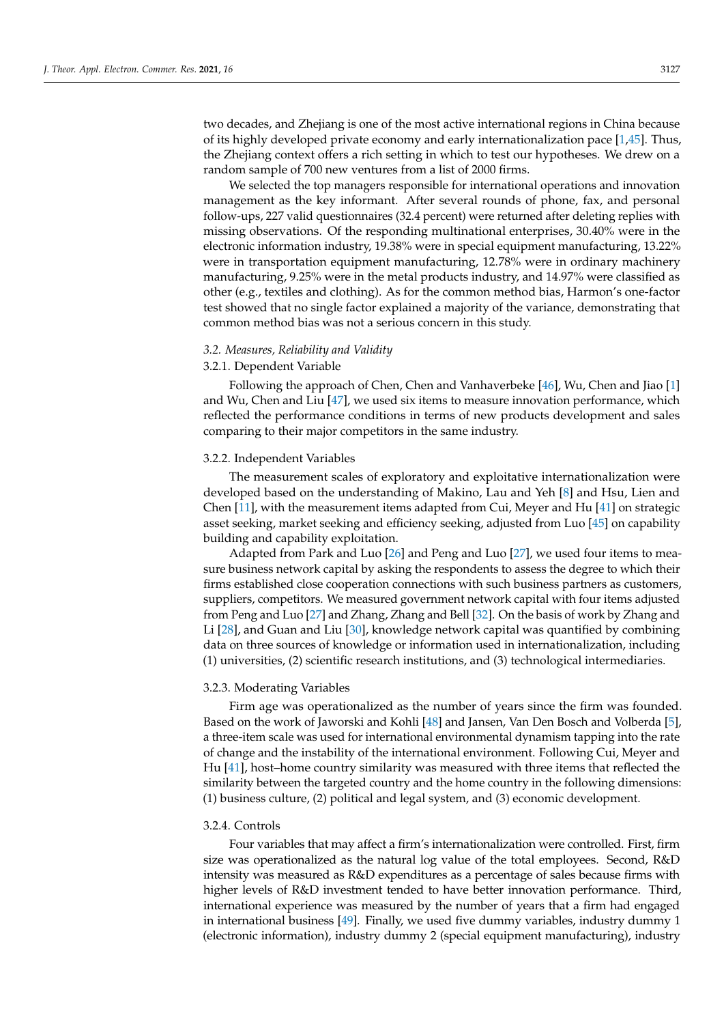two decades, and Zhejiang is one of the most active international regions in China because of its highly developed private economy and early internationalization pace [\[1](#page-14-0)[,45\]](#page-15-16). Thus, the Zhejiang context offers a rich setting in which to test our hypotheses. We drew on a random sample of 700 new ventures from a list of 2000 firms.

We selected the top managers responsible for international operations and innovation management as the key informant. After several rounds of phone, fax, and personal follow-ups, 227 valid questionnaires (32.4 percent) were returned after deleting replies with missing observations. Of the responding multinational enterprises, 30.40% were in the electronic information industry, 19.38% were in special equipment manufacturing, 13.22% were in transportation equipment manufacturing, 12.78% were in ordinary machinery manufacturing, 9.25% were in the metal products industry, and 14.97% were classified as other (e.g., textiles and clothing). As for the common method bias, Harmon's one-factor test showed that no single factor explained a majority of the variance, demonstrating that common method bias was not a serious concern in this study.

#### *3.2. Measures, Reliability and Validity*

# 3.2.1. Dependent Variable

Following the approach of Chen, Chen and Vanhaverbeke [\[46\]](#page-15-17), Wu, Chen and Jiao [\[1\]](#page-14-0) and Wu, Chen and Liu [\[47\]](#page-15-18), we used six items to measure innovation performance, which reflected the performance conditions in terms of new products development and sales comparing to their major competitors in the same industry.

# 3.2.2. Independent Variables

The measurement scales of exploratory and exploitative internationalization were developed based on the understanding of Makino, Lau and Yeh [\[8\]](#page-14-7) and Hsu, Lien and Chen  $[11]$ , with the measurement items adapted from Cui, Meyer and Hu  $[41]$  on strategic asset seeking, market seeking and efficiency seeking, adjusted from Luo [\[45\]](#page-15-16) on capability building and capability exploitation.

Adapted from Park and Luo [\[26\]](#page-14-25) and Peng and Luo [\[27\]](#page-14-26), we used four items to measure business network capital by asking the respondents to assess the degree to which their firms established close cooperation connections with such business partners as customers, suppliers, competitors. We measured government network capital with four items adjusted from Peng and Luo [\[27\]](#page-14-26) and Zhang, Zhang and Bell [\[32\]](#page-15-3). On the basis of work by Zhang and Li [\[28\]](#page-14-27), and Guan and Liu [\[30\]](#page-15-1), knowledge network capital was quantified by combining data on three sources of knowledge or information used in internationalization, including (1) universities, (2) scientific research institutions, and (3) technological intermediaries.

#### 3.2.3. Moderating Variables

Firm age was operationalized as the number of years since the firm was founded. Based on the work of Jaworski and Kohli [\[48\]](#page-15-19) and Jansen, Van Den Bosch and Volberda [\[5\]](#page-14-4), a three-item scale was used for international environmental dynamism tapping into the rate of change and the instability of the international environment. Following Cui, Meyer and Hu [\[41\]](#page-15-12), host–home country similarity was measured with three items that reflected the similarity between the targeted country and the home country in the following dimensions: (1) business culture, (2) political and legal system, and (3) economic development.

## 3.2.4. Controls

Four variables that may affect a firm's internationalization were controlled. First, firm size was operationalized as the natural log value of the total employees. Second, R&D intensity was measured as R&D expenditures as a percentage of sales because firms with higher levels of R&D investment tended to have better innovation performance. Third, international experience was measured by the number of years that a firm had engaged in international business [\[49\]](#page-15-20). Finally, we used five dummy variables, industry dummy 1 (electronic information), industry dummy 2 (special equipment manufacturing), industry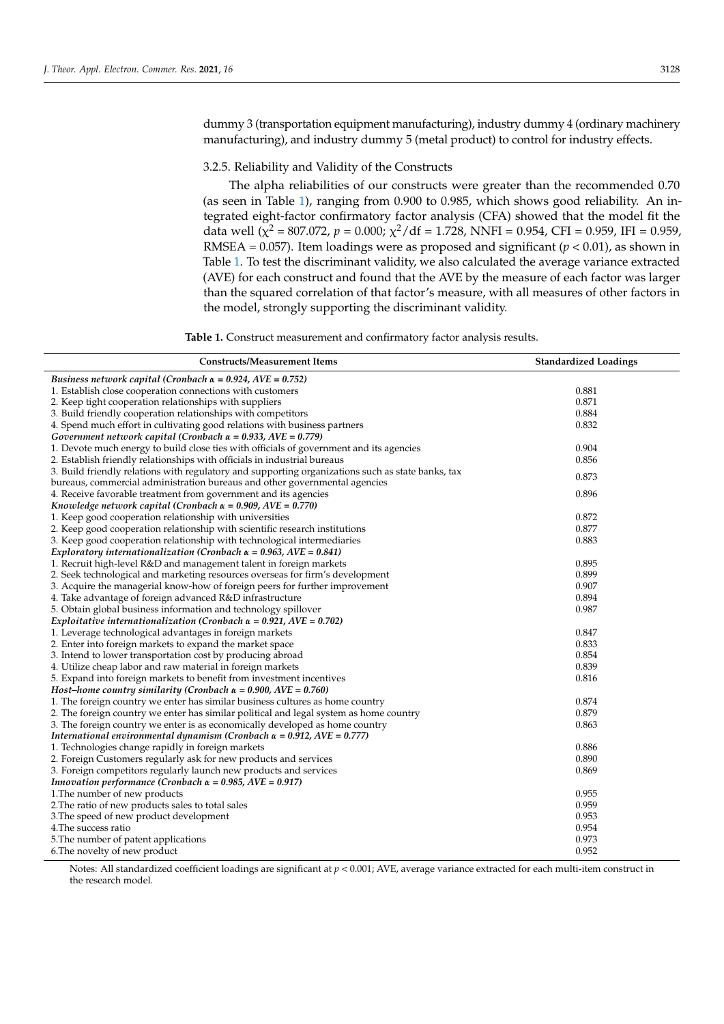dummy 3 (transportation equipment manufacturing), industry dummy 4 (ordinary machinery manufacturing), and industry dummy 5 (metal product) to control for industry effects.

## 3.2.5. Reliability and Validity of the Constructs

The alpha reliabilities of our constructs were greater than the recommended 0.70 (as seen in Table [1\)](#page-8-0), ranging from 0.900 to 0.985, which shows good reliability. An integrated eight-factor confirmatory factor analysis (CFA) showed that the model fit the data well ( $\chi^2$  = 807.072, *p* = 0.000;  $\chi^2$ /df = 1.728, NNFI = 0.954, CFI = 0.959, IFI = 0.959, RMSEA =  $0.057$ ). Item loadings were as proposed and significant ( $p < 0.01$ ), as shown in Table [1.](#page-8-0) To test the discriminant validity, we also calculated the average variance extracted (AVE) for each construct and found that the AVE by the measure of each factor was larger than the squared correlation of that factor's measure, with all measures of other factors in the model, strongly supporting the discriminant validity.

**Table 1.** Construct measurement and confirmatory factor analysis results.

<span id="page-8-0"></span>

| Business network capital (Cronbach $\alpha = 0.924$ , AVE = 0.752)<br>0.881<br>1. Establish close cooperation connections with customers<br>2. Keep tight cooperation relationships with suppliers<br>0.871<br>3. Build friendly cooperation relationships with competitors<br>0.884<br>4. Spend much effort in cultivating good relations with business partners<br>0.832<br>Government network capital (Cronbach $\alpha$ = 0.933, AVE = 0.779)<br>0.904<br>1. Devote much energy to build close ties with officials of government and its agencies<br>2. Establish friendly relationships with officials in industrial bureaus<br>0.856<br>3. Build friendly relations with regulatory and supporting organizations such as state banks, tax<br>0.873<br>bureaus, commercial administration bureaus and other governmental agencies<br>0.896<br>4. Receive favorable treatment from government and its agencies<br>Knowledge network capital (Cronbach $\alpha = 0.909$ , AVE = 0.770)<br>0.872<br>1. Keep good cooperation relationship with universities<br>0.877<br>2. Keep good cooperation relationship with scientific research institutions<br>3. Keep good cooperation relationship with technological intermediaries<br>0.883<br>Exploratory internationalization (Cronbach $\alpha$ = 0.963, AVE = 0.841)<br>0.895<br>1. Recruit high-level R&D and management talent in foreign markets<br>2. Seek technological and marketing resources overseas for firm's development<br>0.899<br>0.907<br>3. Acquire the managerial know-how of foreign peers for further improvement<br>4. Take advantage of foreign advanced R&D infrastructure<br>0.894<br>5. Obtain global business information and technology spillover<br>0.987<br>Exploitative internationalization (Cronbach $\alpha = 0.921$ , AVE = 0.702)<br>0.847<br>1. Leverage technological advantages in foreign markets<br>2. Enter into foreign markets to expand the market space<br>0.833<br>3. Intend to lower transportation cost by producing abroad<br>0.854<br>0.839<br>4. Utilize cheap labor and raw material in foreign markets<br>0.816<br>5. Expand into foreign markets to benefit from investment incentives<br>Host-home country similarity (Cronbach $\alpha = 0.900$ , AVE = 0.760)<br>0.874<br>1. The foreign country we enter has similar business cultures as home country<br>0.879<br>2. The foreign country we enter has similar political and legal system as home country<br>3. The foreign country we enter is as economically developed as home country<br>0.863<br>International environmental dynamism (Cronbach $\alpha = 0.912$ , AVE = 0.777)<br>0.886<br>1. Technologies change rapidly in foreign markets<br>2. Foreign Customers regularly ask for new products and services<br>0.890<br>3. Foreign competitors regularly launch new products and services<br>0.869<br>Innovation performance (Cronbach $\alpha = 0.985$ , AVE = 0.917)<br>1. The number of new products<br>0.955<br>0.959<br>2. The ratio of new products sales to total sales<br>3. The speed of new product development<br>0.953<br>0.954<br>4. The success ratio<br>5. The number of patent applications<br>0.973 | <b>Constructs/Measurement Items</b> | <b>Standardized Loadings</b> |
|---------------------------------------------------------------------------------------------------------------------------------------------------------------------------------------------------------------------------------------------------------------------------------------------------------------------------------------------------------------------------------------------------------------------------------------------------------------------------------------------------------------------------------------------------------------------------------------------------------------------------------------------------------------------------------------------------------------------------------------------------------------------------------------------------------------------------------------------------------------------------------------------------------------------------------------------------------------------------------------------------------------------------------------------------------------------------------------------------------------------------------------------------------------------------------------------------------------------------------------------------------------------------------------------------------------------------------------------------------------------------------------------------------------------------------------------------------------------------------------------------------------------------------------------------------------------------------------------------------------------------------------------------------------------------------------------------------------------------------------------------------------------------------------------------------------------------------------------------------------------------------------------------------------------------------------------------------------------------------------------------------------------------------------------------------------------------------------------------------------------------------------------------------------------------------------------------------------------------------------------------------------------------------------------------------------------------------------------------------------------------------------------------------------------------------------------------------------------------------------------------------------------------------------------------------------------------------------------------------------------------------------------------------------------------------------------------------------------------------------------------------------------------------------------------------------------------------------------------------------------------------------------------------------------------------------------------------------------------------------------------------------------------------------------------------------------------------------------------------------------------------------------------------------------------------------------|-------------------------------------|------------------------------|
|                                                                                                                                                                                                                                                                                                                                                                                                                                                                                                                                                                                                                                                                                                                                                                                                                                                                                                                                                                                                                                                                                                                                                                                                                                                                                                                                                                                                                                                                                                                                                                                                                                                                                                                                                                                                                                                                                                                                                                                                                                                                                                                                                                                                                                                                                                                                                                                                                                                                                                                                                                                                                                                                                                                                                                                                                                                                                                                                                                                                                                                                                                                                                                                             |                                     |                              |
|                                                                                                                                                                                                                                                                                                                                                                                                                                                                                                                                                                                                                                                                                                                                                                                                                                                                                                                                                                                                                                                                                                                                                                                                                                                                                                                                                                                                                                                                                                                                                                                                                                                                                                                                                                                                                                                                                                                                                                                                                                                                                                                                                                                                                                                                                                                                                                                                                                                                                                                                                                                                                                                                                                                                                                                                                                                                                                                                                                                                                                                                                                                                                                                             |                                     |                              |
|                                                                                                                                                                                                                                                                                                                                                                                                                                                                                                                                                                                                                                                                                                                                                                                                                                                                                                                                                                                                                                                                                                                                                                                                                                                                                                                                                                                                                                                                                                                                                                                                                                                                                                                                                                                                                                                                                                                                                                                                                                                                                                                                                                                                                                                                                                                                                                                                                                                                                                                                                                                                                                                                                                                                                                                                                                                                                                                                                                                                                                                                                                                                                                                             |                                     |                              |
|                                                                                                                                                                                                                                                                                                                                                                                                                                                                                                                                                                                                                                                                                                                                                                                                                                                                                                                                                                                                                                                                                                                                                                                                                                                                                                                                                                                                                                                                                                                                                                                                                                                                                                                                                                                                                                                                                                                                                                                                                                                                                                                                                                                                                                                                                                                                                                                                                                                                                                                                                                                                                                                                                                                                                                                                                                                                                                                                                                                                                                                                                                                                                                                             |                                     |                              |
|                                                                                                                                                                                                                                                                                                                                                                                                                                                                                                                                                                                                                                                                                                                                                                                                                                                                                                                                                                                                                                                                                                                                                                                                                                                                                                                                                                                                                                                                                                                                                                                                                                                                                                                                                                                                                                                                                                                                                                                                                                                                                                                                                                                                                                                                                                                                                                                                                                                                                                                                                                                                                                                                                                                                                                                                                                                                                                                                                                                                                                                                                                                                                                                             |                                     |                              |
|                                                                                                                                                                                                                                                                                                                                                                                                                                                                                                                                                                                                                                                                                                                                                                                                                                                                                                                                                                                                                                                                                                                                                                                                                                                                                                                                                                                                                                                                                                                                                                                                                                                                                                                                                                                                                                                                                                                                                                                                                                                                                                                                                                                                                                                                                                                                                                                                                                                                                                                                                                                                                                                                                                                                                                                                                                                                                                                                                                                                                                                                                                                                                                                             |                                     |                              |
|                                                                                                                                                                                                                                                                                                                                                                                                                                                                                                                                                                                                                                                                                                                                                                                                                                                                                                                                                                                                                                                                                                                                                                                                                                                                                                                                                                                                                                                                                                                                                                                                                                                                                                                                                                                                                                                                                                                                                                                                                                                                                                                                                                                                                                                                                                                                                                                                                                                                                                                                                                                                                                                                                                                                                                                                                                                                                                                                                                                                                                                                                                                                                                                             |                                     |                              |
|                                                                                                                                                                                                                                                                                                                                                                                                                                                                                                                                                                                                                                                                                                                                                                                                                                                                                                                                                                                                                                                                                                                                                                                                                                                                                                                                                                                                                                                                                                                                                                                                                                                                                                                                                                                                                                                                                                                                                                                                                                                                                                                                                                                                                                                                                                                                                                                                                                                                                                                                                                                                                                                                                                                                                                                                                                                                                                                                                                                                                                                                                                                                                                                             |                                     |                              |
|                                                                                                                                                                                                                                                                                                                                                                                                                                                                                                                                                                                                                                                                                                                                                                                                                                                                                                                                                                                                                                                                                                                                                                                                                                                                                                                                                                                                                                                                                                                                                                                                                                                                                                                                                                                                                                                                                                                                                                                                                                                                                                                                                                                                                                                                                                                                                                                                                                                                                                                                                                                                                                                                                                                                                                                                                                                                                                                                                                                                                                                                                                                                                                                             |                                     |                              |
|                                                                                                                                                                                                                                                                                                                                                                                                                                                                                                                                                                                                                                                                                                                                                                                                                                                                                                                                                                                                                                                                                                                                                                                                                                                                                                                                                                                                                                                                                                                                                                                                                                                                                                                                                                                                                                                                                                                                                                                                                                                                                                                                                                                                                                                                                                                                                                                                                                                                                                                                                                                                                                                                                                                                                                                                                                                                                                                                                                                                                                                                                                                                                                                             |                                     |                              |
|                                                                                                                                                                                                                                                                                                                                                                                                                                                                                                                                                                                                                                                                                                                                                                                                                                                                                                                                                                                                                                                                                                                                                                                                                                                                                                                                                                                                                                                                                                                                                                                                                                                                                                                                                                                                                                                                                                                                                                                                                                                                                                                                                                                                                                                                                                                                                                                                                                                                                                                                                                                                                                                                                                                                                                                                                                                                                                                                                                                                                                                                                                                                                                                             |                                     |                              |
|                                                                                                                                                                                                                                                                                                                                                                                                                                                                                                                                                                                                                                                                                                                                                                                                                                                                                                                                                                                                                                                                                                                                                                                                                                                                                                                                                                                                                                                                                                                                                                                                                                                                                                                                                                                                                                                                                                                                                                                                                                                                                                                                                                                                                                                                                                                                                                                                                                                                                                                                                                                                                                                                                                                                                                                                                                                                                                                                                                                                                                                                                                                                                                                             |                                     |                              |
|                                                                                                                                                                                                                                                                                                                                                                                                                                                                                                                                                                                                                                                                                                                                                                                                                                                                                                                                                                                                                                                                                                                                                                                                                                                                                                                                                                                                                                                                                                                                                                                                                                                                                                                                                                                                                                                                                                                                                                                                                                                                                                                                                                                                                                                                                                                                                                                                                                                                                                                                                                                                                                                                                                                                                                                                                                                                                                                                                                                                                                                                                                                                                                                             |                                     |                              |
|                                                                                                                                                                                                                                                                                                                                                                                                                                                                                                                                                                                                                                                                                                                                                                                                                                                                                                                                                                                                                                                                                                                                                                                                                                                                                                                                                                                                                                                                                                                                                                                                                                                                                                                                                                                                                                                                                                                                                                                                                                                                                                                                                                                                                                                                                                                                                                                                                                                                                                                                                                                                                                                                                                                                                                                                                                                                                                                                                                                                                                                                                                                                                                                             |                                     |                              |
|                                                                                                                                                                                                                                                                                                                                                                                                                                                                                                                                                                                                                                                                                                                                                                                                                                                                                                                                                                                                                                                                                                                                                                                                                                                                                                                                                                                                                                                                                                                                                                                                                                                                                                                                                                                                                                                                                                                                                                                                                                                                                                                                                                                                                                                                                                                                                                                                                                                                                                                                                                                                                                                                                                                                                                                                                                                                                                                                                                                                                                                                                                                                                                                             |                                     |                              |
|                                                                                                                                                                                                                                                                                                                                                                                                                                                                                                                                                                                                                                                                                                                                                                                                                                                                                                                                                                                                                                                                                                                                                                                                                                                                                                                                                                                                                                                                                                                                                                                                                                                                                                                                                                                                                                                                                                                                                                                                                                                                                                                                                                                                                                                                                                                                                                                                                                                                                                                                                                                                                                                                                                                                                                                                                                                                                                                                                                                                                                                                                                                                                                                             |                                     |                              |
|                                                                                                                                                                                                                                                                                                                                                                                                                                                                                                                                                                                                                                                                                                                                                                                                                                                                                                                                                                                                                                                                                                                                                                                                                                                                                                                                                                                                                                                                                                                                                                                                                                                                                                                                                                                                                                                                                                                                                                                                                                                                                                                                                                                                                                                                                                                                                                                                                                                                                                                                                                                                                                                                                                                                                                                                                                                                                                                                                                                                                                                                                                                                                                                             |                                     |                              |
|                                                                                                                                                                                                                                                                                                                                                                                                                                                                                                                                                                                                                                                                                                                                                                                                                                                                                                                                                                                                                                                                                                                                                                                                                                                                                                                                                                                                                                                                                                                                                                                                                                                                                                                                                                                                                                                                                                                                                                                                                                                                                                                                                                                                                                                                                                                                                                                                                                                                                                                                                                                                                                                                                                                                                                                                                                                                                                                                                                                                                                                                                                                                                                                             |                                     |                              |
|                                                                                                                                                                                                                                                                                                                                                                                                                                                                                                                                                                                                                                                                                                                                                                                                                                                                                                                                                                                                                                                                                                                                                                                                                                                                                                                                                                                                                                                                                                                                                                                                                                                                                                                                                                                                                                                                                                                                                                                                                                                                                                                                                                                                                                                                                                                                                                                                                                                                                                                                                                                                                                                                                                                                                                                                                                                                                                                                                                                                                                                                                                                                                                                             |                                     |                              |
|                                                                                                                                                                                                                                                                                                                                                                                                                                                                                                                                                                                                                                                                                                                                                                                                                                                                                                                                                                                                                                                                                                                                                                                                                                                                                                                                                                                                                                                                                                                                                                                                                                                                                                                                                                                                                                                                                                                                                                                                                                                                                                                                                                                                                                                                                                                                                                                                                                                                                                                                                                                                                                                                                                                                                                                                                                                                                                                                                                                                                                                                                                                                                                                             |                                     |                              |
|                                                                                                                                                                                                                                                                                                                                                                                                                                                                                                                                                                                                                                                                                                                                                                                                                                                                                                                                                                                                                                                                                                                                                                                                                                                                                                                                                                                                                                                                                                                                                                                                                                                                                                                                                                                                                                                                                                                                                                                                                                                                                                                                                                                                                                                                                                                                                                                                                                                                                                                                                                                                                                                                                                                                                                                                                                                                                                                                                                                                                                                                                                                                                                                             |                                     |                              |
|                                                                                                                                                                                                                                                                                                                                                                                                                                                                                                                                                                                                                                                                                                                                                                                                                                                                                                                                                                                                                                                                                                                                                                                                                                                                                                                                                                                                                                                                                                                                                                                                                                                                                                                                                                                                                                                                                                                                                                                                                                                                                                                                                                                                                                                                                                                                                                                                                                                                                                                                                                                                                                                                                                                                                                                                                                                                                                                                                                                                                                                                                                                                                                                             |                                     |                              |
|                                                                                                                                                                                                                                                                                                                                                                                                                                                                                                                                                                                                                                                                                                                                                                                                                                                                                                                                                                                                                                                                                                                                                                                                                                                                                                                                                                                                                                                                                                                                                                                                                                                                                                                                                                                                                                                                                                                                                                                                                                                                                                                                                                                                                                                                                                                                                                                                                                                                                                                                                                                                                                                                                                                                                                                                                                                                                                                                                                                                                                                                                                                                                                                             |                                     |                              |
|                                                                                                                                                                                                                                                                                                                                                                                                                                                                                                                                                                                                                                                                                                                                                                                                                                                                                                                                                                                                                                                                                                                                                                                                                                                                                                                                                                                                                                                                                                                                                                                                                                                                                                                                                                                                                                                                                                                                                                                                                                                                                                                                                                                                                                                                                                                                                                                                                                                                                                                                                                                                                                                                                                                                                                                                                                                                                                                                                                                                                                                                                                                                                                                             |                                     |                              |
|                                                                                                                                                                                                                                                                                                                                                                                                                                                                                                                                                                                                                                                                                                                                                                                                                                                                                                                                                                                                                                                                                                                                                                                                                                                                                                                                                                                                                                                                                                                                                                                                                                                                                                                                                                                                                                                                                                                                                                                                                                                                                                                                                                                                                                                                                                                                                                                                                                                                                                                                                                                                                                                                                                                                                                                                                                                                                                                                                                                                                                                                                                                                                                                             |                                     |                              |
|                                                                                                                                                                                                                                                                                                                                                                                                                                                                                                                                                                                                                                                                                                                                                                                                                                                                                                                                                                                                                                                                                                                                                                                                                                                                                                                                                                                                                                                                                                                                                                                                                                                                                                                                                                                                                                                                                                                                                                                                                                                                                                                                                                                                                                                                                                                                                                                                                                                                                                                                                                                                                                                                                                                                                                                                                                                                                                                                                                                                                                                                                                                                                                                             |                                     |                              |
|                                                                                                                                                                                                                                                                                                                                                                                                                                                                                                                                                                                                                                                                                                                                                                                                                                                                                                                                                                                                                                                                                                                                                                                                                                                                                                                                                                                                                                                                                                                                                                                                                                                                                                                                                                                                                                                                                                                                                                                                                                                                                                                                                                                                                                                                                                                                                                                                                                                                                                                                                                                                                                                                                                                                                                                                                                                                                                                                                                                                                                                                                                                                                                                             |                                     |                              |
|                                                                                                                                                                                                                                                                                                                                                                                                                                                                                                                                                                                                                                                                                                                                                                                                                                                                                                                                                                                                                                                                                                                                                                                                                                                                                                                                                                                                                                                                                                                                                                                                                                                                                                                                                                                                                                                                                                                                                                                                                                                                                                                                                                                                                                                                                                                                                                                                                                                                                                                                                                                                                                                                                                                                                                                                                                                                                                                                                                                                                                                                                                                                                                                             |                                     |                              |
|                                                                                                                                                                                                                                                                                                                                                                                                                                                                                                                                                                                                                                                                                                                                                                                                                                                                                                                                                                                                                                                                                                                                                                                                                                                                                                                                                                                                                                                                                                                                                                                                                                                                                                                                                                                                                                                                                                                                                                                                                                                                                                                                                                                                                                                                                                                                                                                                                                                                                                                                                                                                                                                                                                                                                                                                                                                                                                                                                                                                                                                                                                                                                                                             |                                     |                              |
|                                                                                                                                                                                                                                                                                                                                                                                                                                                                                                                                                                                                                                                                                                                                                                                                                                                                                                                                                                                                                                                                                                                                                                                                                                                                                                                                                                                                                                                                                                                                                                                                                                                                                                                                                                                                                                                                                                                                                                                                                                                                                                                                                                                                                                                                                                                                                                                                                                                                                                                                                                                                                                                                                                                                                                                                                                                                                                                                                                                                                                                                                                                                                                                             |                                     |                              |
|                                                                                                                                                                                                                                                                                                                                                                                                                                                                                                                                                                                                                                                                                                                                                                                                                                                                                                                                                                                                                                                                                                                                                                                                                                                                                                                                                                                                                                                                                                                                                                                                                                                                                                                                                                                                                                                                                                                                                                                                                                                                                                                                                                                                                                                                                                                                                                                                                                                                                                                                                                                                                                                                                                                                                                                                                                                                                                                                                                                                                                                                                                                                                                                             |                                     |                              |
|                                                                                                                                                                                                                                                                                                                                                                                                                                                                                                                                                                                                                                                                                                                                                                                                                                                                                                                                                                                                                                                                                                                                                                                                                                                                                                                                                                                                                                                                                                                                                                                                                                                                                                                                                                                                                                                                                                                                                                                                                                                                                                                                                                                                                                                                                                                                                                                                                                                                                                                                                                                                                                                                                                                                                                                                                                                                                                                                                                                                                                                                                                                                                                                             |                                     |                              |
|                                                                                                                                                                                                                                                                                                                                                                                                                                                                                                                                                                                                                                                                                                                                                                                                                                                                                                                                                                                                                                                                                                                                                                                                                                                                                                                                                                                                                                                                                                                                                                                                                                                                                                                                                                                                                                                                                                                                                                                                                                                                                                                                                                                                                                                                                                                                                                                                                                                                                                                                                                                                                                                                                                                                                                                                                                                                                                                                                                                                                                                                                                                                                                                             |                                     |                              |
|                                                                                                                                                                                                                                                                                                                                                                                                                                                                                                                                                                                                                                                                                                                                                                                                                                                                                                                                                                                                                                                                                                                                                                                                                                                                                                                                                                                                                                                                                                                                                                                                                                                                                                                                                                                                                                                                                                                                                                                                                                                                                                                                                                                                                                                                                                                                                                                                                                                                                                                                                                                                                                                                                                                                                                                                                                                                                                                                                                                                                                                                                                                                                                                             |                                     |                              |
|                                                                                                                                                                                                                                                                                                                                                                                                                                                                                                                                                                                                                                                                                                                                                                                                                                                                                                                                                                                                                                                                                                                                                                                                                                                                                                                                                                                                                                                                                                                                                                                                                                                                                                                                                                                                                                                                                                                                                                                                                                                                                                                                                                                                                                                                                                                                                                                                                                                                                                                                                                                                                                                                                                                                                                                                                                                                                                                                                                                                                                                                                                                                                                                             |                                     |                              |
|                                                                                                                                                                                                                                                                                                                                                                                                                                                                                                                                                                                                                                                                                                                                                                                                                                                                                                                                                                                                                                                                                                                                                                                                                                                                                                                                                                                                                                                                                                                                                                                                                                                                                                                                                                                                                                                                                                                                                                                                                                                                                                                                                                                                                                                                                                                                                                                                                                                                                                                                                                                                                                                                                                                                                                                                                                                                                                                                                                                                                                                                                                                                                                                             |                                     |                              |
|                                                                                                                                                                                                                                                                                                                                                                                                                                                                                                                                                                                                                                                                                                                                                                                                                                                                                                                                                                                                                                                                                                                                                                                                                                                                                                                                                                                                                                                                                                                                                                                                                                                                                                                                                                                                                                                                                                                                                                                                                                                                                                                                                                                                                                                                                                                                                                                                                                                                                                                                                                                                                                                                                                                                                                                                                                                                                                                                                                                                                                                                                                                                                                                             |                                     |                              |
|                                                                                                                                                                                                                                                                                                                                                                                                                                                                                                                                                                                                                                                                                                                                                                                                                                                                                                                                                                                                                                                                                                                                                                                                                                                                                                                                                                                                                                                                                                                                                                                                                                                                                                                                                                                                                                                                                                                                                                                                                                                                                                                                                                                                                                                                                                                                                                                                                                                                                                                                                                                                                                                                                                                                                                                                                                                                                                                                                                                                                                                                                                                                                                                             |                                     |                              |
|                                                                                                                                                                                                                                                                                                                                                                                                                                                                                                                                                                                                                                                                                                                                                                                                                                                                                                                                                                                                                                                                                                                                                                                                                                                                                                                                                                                                                                                                                                                                                                                                                                                                                                                                                                                                                                                                                                                                                                                                                                                                                                                                                                                                                                                                                                                                                                                                                                                                                                                                                                                                                                                                                                                                                                                                                                                                                                                                                                                                                                                                                                                                                                                             |                                     |                              |
|                                                                                                                                                                                                                                                                                                                                                                                                                                                                                                                                                                                                                                                                                                                                                                                                                                                                                                                                                                                                                                                                                                                                                                                                                                                                                                                                                                                                                                                                                                                                                                                                                                                                                                                                                                                                                                                                                                                                                                                                                                                                                                                                                                                                                                                                                                                                                                                                                                                                                                                                                                                                                                                                                                                                                                                                                                                                                                                                                                                                                                                                                                                                                                                             |                                     |                              |
|                                                                                                                                                                                                                                                                                                                                                                                                                                                                                                                                                                                                                                                                                                                                                                                                                                                                                                                                                                                                                                                                                                                                                                                                                                                                                                                                                                                                                                                                                                                                                                                                                                                                                                                                                                                                                                                                                                                                                                                                                                                                                                                                                                                                                                                                                                                                                                                                                                                                                                                                                                                                                                                                                                                                                                                                                                                                                                                                                                                                                                                                                                                                                                                             |                                     |                              |
|                                                                                                                                                                                                                                                                                                                                                                                                                                                                                                                                                                                                                                                                                                                                                                                                                                                                                                                                                                                                                                                                                                                                                                                                                                                                                                                                                                                                                                                                                                                                                                                                                                                                                                                                                                                                                                                                                                                                                                                                                                                                                                                                                                                                                                                                                                                                                                                                                                                                                                                                                                                                                                                                                                                                                                                                                                                                                                                                                                                                                                                                                                                                                                                             | 6. The novelty of new product       | 0.952                        |

Notes: All standardized coefficient loadings are significant at *p <* 0.001; AVE, average variance extracted for each multi-item construct in the research model.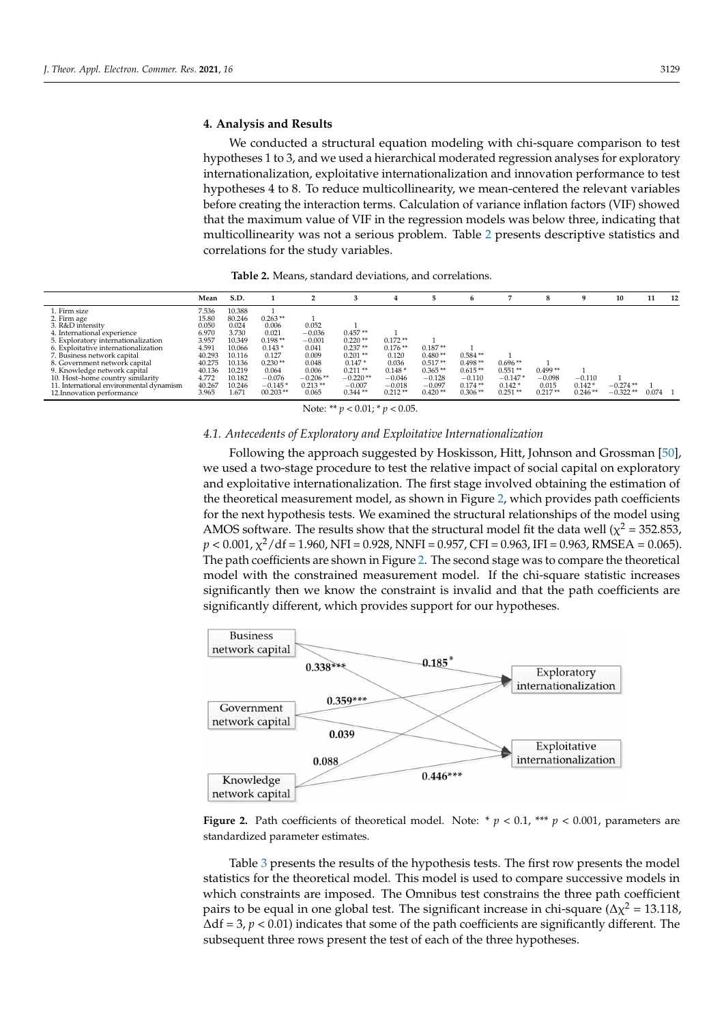## **4. Analysis and Results**

We conducted a structural equation modeling with chi-square comparison to test hypotheses 1 to 3, and we used a hierarchical moderated regression analyses for exploratory internationalization, exploitative internationalization and innovation performance to test hypotheses 4 to 8. To reduce multicollinearity, we mean-centered the relevant variables before creating the interaction terms. Calculation of variance inflation factors (VIF) showed that the maximum value of VIF in the regression models was below three, indicating that multicollinearity was not a serious problem. Table [2](#page-9-0) presents descriptive statistics and correlations for the study variables.

<span id="page-9-0"></span>

|                                          | Mean   | S.D.   |            |            |            |           |           | b         |           | ×         |           | 10         | 11        | 12 |
|------------------------------------------|--------|--------|------------|------------|------------|-----------|-----------|-----------|-----------|-----------|-----------|------------|-----------|----|
| 1. Firm size                             | 7.536  | 10.388 |            |            |            |           |           |           |           |           |           |            |           |    |
| 2. Firm age                              | 15.80  | 80.246 | $0.263**$  |            |            |           |           |           |           |           |           |            |           |    |
| 3. R&D intensity                         | 0.050  | 0.024  | 0.006      | 0.052      |            |           |           |           |           |           |           |            |           |    |
| 4. International experience              | 6.970  | 3.730  | 0.021      | $-0.036$   | $0.457**$  |           |           |           |           |           |           |            |           |    |
| 5. Exploratory internationalization      | 3.957  | 10.349 | $0.198**$  | $-0.001$   | $0.220**$  | $0.172**$ |           |           |           |           |           |            |           |    |
| 6. Exploitative internationalization     | 4.591  | 10.066 | $0.143*$   | 0.041      | $0.237**$  | $0.176**$ | $0.187**$ |           |           |           |           |            |           |    |
| 7. Business network capital              | 40.293 | 10.116 | 0.127      | 0.009      | $0.201**$  | 0.120     | $0.480**$ | $0.584**$ |           |           |           |            |           |    |
| 8. Government network capital            | 40.275 | 10.136 | $0.230**$  | 0.048      | $0.147*$   | 0.036     | $0.517**$ | $0.498**$ | $0.696**$ |           |           |            |           |    |
| 9. Knowledge network capital             | 40.136 | 10.219 | 0.064      | 0.006      | $0.211**$  | $0.148*$  | $0.365**$ | $0.615**$ | $0.551**$ | $0.499**$ |           |            |           |    |
| 10. Host-home country similarity         | 4.772  | 10.182 | $-0.076$   | $-0.206**$ | $-0.220**$ | $-0.046$  | $-0.128$  | $-0.110$  | $-0.147*$ | $-0.098$  | $-0.110$  |            |           |    |
| 11. International environmental dynamism | 40.267 | 10.246 | $-0.145*$  | $0.213**$  | $-0.007$   | $-0.018$  | $-0.097$  | $0.174**$ | $0.142*$  | 0.015     | $0.142*$  | $-0.274**$ |           |    |
| 12. Innovation performance               | 3.965  | 1.671  | $00.203**$ | 0.065      | $0.344**$  | $0.212**$ | $0.420**$ | $0.306**$ | $0.251**$ | $0.217**$ | $0.246**$ | $-0.322**$ | $0.074$ 1 |    |

Note: \*\* *p* < 0.01; \* *p* < 0.05.

#### *4.1. Antecedents of Exploratory and Exploitative Internationalization*

Following the approach suggested by Hoskisson, Hitt, Johnson and Grossman [\[50\]](#page-15-21), we used a two-stage procedure to test the relative impact of social capital on exploratory and exploitative internationalization. The first stage involved obtaining the estimation of the theoretical measurement model, as shown in Figure [2,](#page-9-1) which provides path coefficients<br>conthesional hypothesis tests. We examined the structural relationships of the model wire. for the next hypothesis tests. We examined the structural relationships of the model using AMOS software. The results show that the structural model fit the data well ( $\chi^2$  = 352.853, *p* < 0.001, χ<sup>2</sup>/df = 1.960, NFI = 0.928, NNFI = 0.957, CFI = 0.963, IFI = 0.963, RMSEA = 0.065). The path coefficients are shown in Figure [2.](#page-9-1) The second stage was to compare the theoretical model with the constrained measurement model. If the chi-square statistic increases significantly then we know the constraint is invalid and that the path coefficients are significantly different, which provides support for our hypotheses.

<span id="page-9-1"></span>

Figure 2. Path coefficients of theoretical model. Note: \*  $p < 0.1$ , \*\*\*  $p < 0.001$ , parameters are standardized parameter estimates.

Tabl[e 3](#page-10-0) presents the results of the hypothesis tests. The first row presents the model Table 3 presents the results of the hypothesis tests. The first row presents the model statistics for the theoretical model. This model is used to compare successive models in statistics for the theoretical model. This model is used to compare successive models in which constraints are imposed. The Omnibus test constrains the three path coefficient pairs to be equal in one global test. The significant increase in chi-square ( $\Delta \chi^2 = 13.118$ , ∆df = 3, *p* < 0.01) indicates that some of the path coefficients are significantly different. The subsequent three rows present the test of each of the three hypotheses. subsequent three rows present the test of each of the three hypotheses.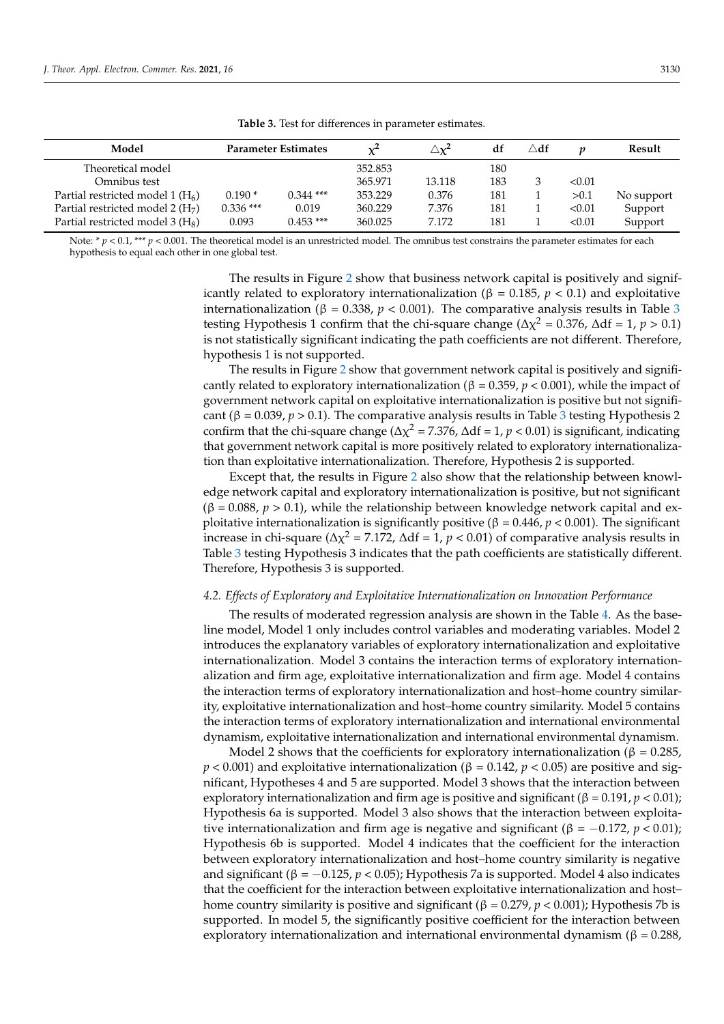<span id="page-10-0"></span>

| Model                                        |             | <b>Parameter Estimates</b> |         | $\triangle \chi^2$ | df  | $\triangle$ df |        | Result     |
|----------------------------------------------|-------------|----------------------------|---------|--------------------|-----|----------------|--------|------------|
| Theoretical model                            |             |                            | 352.853 |                    | 180 |                |        |            |
| Omnibus test                                 |             |                            | 365.971 | 13.118             | 183 | 3              | < 0.01 |            |
| Partial restricted model 1 $(H6)$            | $0.190*$    | $0.344$ ***                | 353.229 | 0.376              | 181 |                | > 0.1  | No support |
| Partial restricted model 2 $(H7)$            | $0.336$ *** | 0.019                      | 360.229 | 7.376              | 181 |                | < 0.01 | Support    |
| Partial restricted model 3 (H <sub>8</sub> ) | 0.093       | $0.453$ ***                | 360.025 | 7.172              | 181 |                | < 0.01 | Support    |

**Table 3.** Test for differences in parameter estimates.

Note: \* *p* < 0.1, \*\*\* *p* < 0.001. The theoretical model is an unrestricted model. The omnibus test constrains the parameter estimates for each hypothesis to equal each other in one global test.

> The results in Figure [2](#page-9-1) show that business network capital is positively and significantly related to exploratory internationalization (β = 0.185, *p* < 0.1) and exploitative internationalization ( $β = 0.338, p < 0.001$  $β = 0.338, p < 0.001$  $β = 0.338, p < 0.001$ ). The comparative analysis results in Table 3 testing Hypothesis 1 confirm that the chi-square change ( $\Delta \chi^2 = 0.376$ ,  $\Delta df = 1$ ,  $p > 0.1$ ) is not statistically significant indicating the path coefficients are not different. Therefore, hypothesis 1 is not supported.

> The results in Figure [2](#page-9-1) show that government network capital is positively and significantly related to exploratory internationalization ( $\beta = 0.359$ ,  $p < 0.001$ ), while the impact of government network capital on exploitative internationalization is positive but not significant ( $\beta = 0.039$  $\beta = 0.039$  $\beta = 0.039$ ,  $p > 0.1$ ). The comparative analysis results in Table 3 testing Hypothesis 2 confirm that the chi-square change ( $Δχ² = 7.376$ ,  $Δdf = 1$ ,  $p < 0.01$ ) is significant, indicating that government network capital is more positively related to exploratory internationalization than exploitative internationalization. Therefore, Hypothesis 2 is supported.

> Except that, the results in Figure [2](#page-9-1) also show that the relationship between knowledge network capital and exploratory internationalization is positive, but not significant  $(\beta = 0.088, p > 0.1)$ , while the relationship between knowledge network capital and exploitative internationalization is significantly positive (β = 0.446, *p <* 0.001). The significant increase in chi-square ( $Δχ² = 7.172$ ,  $Δdf = 1$ ,  $p < 0.01$ ) of comparative analysis results in Table [3](#page-10-0) testing Hypothesis 3 indicates that the path coefficients are statistically different. Therefore, Hypothesis 3 is supported.

#### *4.2. Effects of Exploratory and Exploitative Internationalization on Innovation Performance*

The results of moderated regression analysis are shown in the Table [4.](#page-11-0) As the baseline model, Model 1 only includes control variables and moderating variables. Model 2 introduces the explanatory variables of exploratory internationalization and exploitative internationalization. Model 3 contains the interaction terms of exploratory internationalization and firm age, exploitative internationalization and firm age. Model 4 contains the interaction terms of exploratory internationalization and host–home country similarity, exploitative internationalization and host–home country similarity. Model 5 contains the interaction terms of exploratory internationalization and international environmental dynamism, exploitative internationalization and international environmental dynamism.

Model 2 shows that the coefficients for exploratory internationalization ( $\beta = 0.285$ ,  $p < 0.001$ ) and exploitative internationalization ( $\beta = 0.142$ ,  $p < 0.05$ ) are positive and significant, Hypotheses 4 and 5 are supported. Model 3 shows that the interaction between exploratory internationalization and firm age is positive and significant (β = 0.191, *p* < 0.01); Hypothesis 6a is supported. Model 3 also shows that the interaction between exploitative internationalization and firm age is negative and significant ( $\beta = -0.172$ ,  $p < 0.01$ ); Hypothesis 6b is supported. Model 4 indicates that the coefficient for the interaction between exploratory internationalization and host–home country similarity is negative and significant (β =  $-0.125$ , *p* < 0.05); Hypothesis 7a is supported. Model 4 also indicates that the coefficient for the interaction between exploitative internationalization and host– home country similarity is positive and significant ( $β = 0.279$ ,  $p < 0.001$ ); Hypothesis 7b is supported. In model 5, the significantly positive coefficient for the interaction between exploratory internationalization and international environmental dynamism ( $β = 0.288$ ,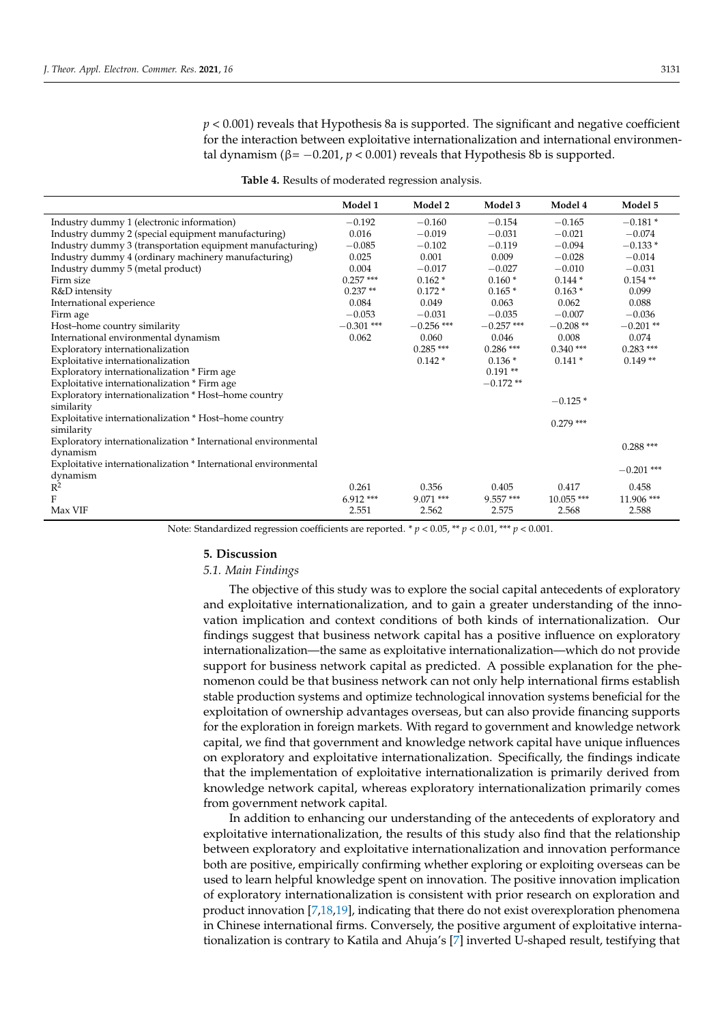*p* < 0.001) reveals that Hypothesis 8a is supported. The significant and negative coefficient for the interaction between exploitative internationalization and international environmental dynamism ( $\beta$ = -0.201,  $p$  < 0.001) reveals that Hypothesis 8b is supported.

<span id="page-11-0"></span>

|                                                                 | Model 1      | Model 2      | Model 3      | Model 4      | Model 5      |
|-----------------------------------------------------------------|--------------|--------------|--------------|--------------|--------------|
| Industry dummy 1 (electronic information)                       | $-0.192$     | $-0.160$     | $-0.154$     | $-0.165$     | $-0.181*$    |
| Industry dummy 2 (special equipment manufacturing)              | 0.016        | $-0.019$     | $-0.031$     | $-0.021$     | $-0.074$     |
| Industry dummy 3 (transportation equipment manufacturing)       | $-0.085$     | $-0.102$     | $-0.119$     | $-0.094$     | $-0.133*$    |
| Industry dummy 4 (ordinary machinery manufacturing)             | 0.025        | 0.001        | 0.009        | $-0.028$     | $-0.014$     |
| Industry dummy 5 (metal product)                                | 0.004        | $-0.017$     | $-0.027$     | $-0.010$     | $-0.031$     |
| Firm size                                                       | $0.257***$   | $0.162*$     | $0.160*$     | $0.144*$     | $0.154**$    |
| R&D intensity                                                   | $0.237**$    | $0.172*$     | $0.165*$     | $0.163*$     | 0.099        |
| International experience                                        | 0.084        | 0.049        | 0.063        | 0.062        | 0.088        |
| Firm age                                                        | $-0.053$     | $-0.031$     | $-0.035$     | $-0.007$     | $-0.036$     |
| Host-home country similarity                                    | $-0.301$ *** | $-0.256$ *** | $-0.257$ *** | $-0.208**$   | $-0.201**$   |
| International environmental dynamism                            | 0.062        | 0.060        | 0.046        | 0.008        | 0.074        |
| Exploratory internationalization                                |              | $0.285***$   | $0.286$ ***  | $0.340***$   | $0.283***$   |
| Exploitative internationalization                               |              | $0.142*$     | $0.136*$     | $0.141*$     | $0.149**$    |
| Exploratory internationalization * Firm age                     |              |              | $0.191**$    |              |              |
| Exploitative internationalization * Firm age                    |              |              | $-0.172**$   |              |              |
| Exploratory internationalization * Host-home country            |              |              |              | $-0.125*$    |              |
| similarity                                                      |              |              |              |              |              |
| Exploitative internationalization * Host-home country           |              |              |              | $0.279$ ***  |              |
| similarity                                                      |              |              |              |              |              |
| Exploratory internationalization * International environmental  |              |              |              |              | $0.288***$   |
| dynamism                                                        |              |              |              |              |              |
| Exploitative internationalization * International environmental |              |              |              |              | $-0.201$ *** |
| dynamism                                                        |              |              |              |              |              |
| $R^2$                                                           | 0.261        | 0.356        | 0.405        | 0.417        | 0.458        |
| F                                                               | $6.912***$   | $9.071$ ***  | $9.557***$   | $10.055$ *** | 11.906 ***   |
| Max VIF                                                         | 2.551        | 2.562        | 2.575        | 2.568        | 2.588        |

Note: Standardized regression coefficients are reported. \* *p* < 0.05, \*\* *p* < 0.01, \*\*\* *p* < 0.001.

#### **5. Discussion**

#### *5.1. Main Findings*

The objective of this study was to explore the social capital antecedents of exploratory and exploitative internationalization, and to gain a greater understanding of the innovation implication and context conditions of both kinds of internationalization. Our findings suggest that business network capital has a positive influence on exploratory internationalization—the same as exploitative internationalization—which do not provide support for business network capital as predicted. A possible explanation for the phenomenon could be that business network can not only help international firms establish stable production systems and optimize technological innovation systems beneficial for the exploitation of ownership advantages overseas, but can also provide financing supports for the exploration in foreign markets. With regard to government and knowledge network capital, we find that government and knowledge network capital have unique influences on exploratory and exploitative internationalization. Specifically, the findings indicate that the implementation of exploitative internationalization is primarily derived from knowledge network capital, whereas exploratory internationalization primarily comes from government network capital.

In addition to enhancing our understanding of the antecedents of exploratory and exploitative internationalization, the results of this study also find that the relationship between exploratory and exploitative internationalization and innovation performance both are positive, empirically confirming whether exploring or exploiting overseas can be used to learn helpful knowledge spent on innovation. The positive innovation implication of exploratory internationalization is consistent with prior research on exploration and product innovation [\[7](#page-14-6)[,18,](#page-14-17)[19\]](#page-14-18), indicating that there do not exist overexploration phenomena in Chinese international firms. Conversely, the positive argument of exploitative internationalization is contrary to Katila and Ahuja's [\[7\]](#page-14-6) inverted U-shaped result, testifying that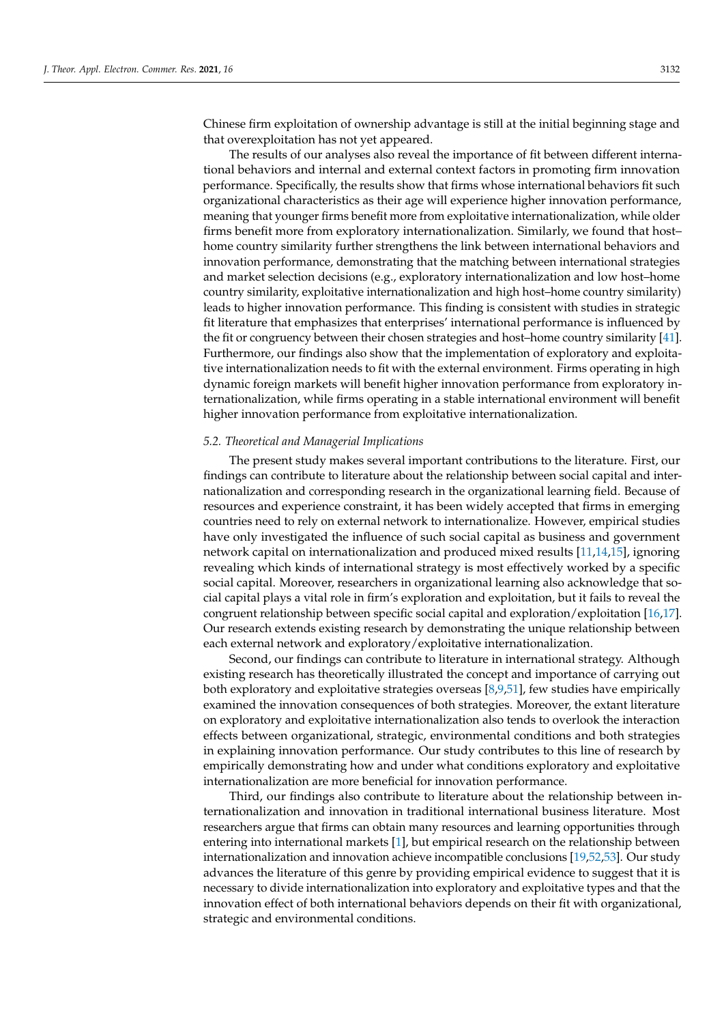Chinese firm exploitation of ownership advantage is still at the initial beginning stage and that overexploitation has not yet appeared.

The results of our analyses also reveal the importance of fit between different international behaviors and internal and external context factors in promoting firm innovation performance. Specifically, the results show that firms whose international behaviors fit such organizational characteristics as their age will experience higher innovation performance, meaning that younger firms benefit more from exploitative internationalization, while older firms benefit more from exploratory internationalization. Similarly, we found that host– home country similarity further strengthens the link between international behaviors and innovation performance, demonstrating that the matching between international strategies and market selection decisions (e.g., exploratory internationalization and low host–home country similarity, exploitative internationalization and high host–home country similarity) leads to higher innovation performance. This finding is consistent with studies in strategic fit literature that emphasizes that enterprises' international performance is influenced by the fit or congruency between their chosen strategies and host–home country similarity [\[41\]](#page-15-12). Furthermore, our findings also show that the implementation of exploratory and exploitative internationalization needs to fit with the external environment. Firms operating in high dynamic foreign markets will benefit higher innovation performance from exploratory internationalization, while firms operating in a stable international environment will benefit higher innovation performance from exploitative internationalization.

#### *5.2. Theoretical and Managerial Implications*

The present study makes several important contributions to the literature. First, our findings can contribute to literature about the relationship between social capital and internationalization and corresponding research in the organizational learning field. Because of resources and experience constraint, it has been widely accepted that firms in emerging countries need to rely on external network to internationalize. However, empirical studies have only investigated the influence of such social capital as business and government network capital on internationalization and produced mixed results [\[11](#page-14-10)[,14](#page-14-13)[,15\]](#page-14-14), ignoring revealing which kinds of international strategy is most effectively worked by a specific social capital. Moreover, researchers in organizational learning also acknowledge that social capital plays a vital role in firm's exploration and exploitation, but it fails to reveal the congruent relationship between specific social capital and exploration/exploitation [\[16](#page-14-15)[,17\]](#page-14-16). Our research extends existing research by demonstrating the unique relationship between each external network and exploratory/exploitative internationalization.

Second, our findings can contribute to literature in international strategy. Although existing research has theoretically illustrated the concept and importance of carrying out both exploratory and exploitative strategies overseas [\[8](#page-14-7)[,9](#page-14-9)[,51\]](#page-15-22), few studies have empirically examined the innovation consequences of both strategies. Moreover, the extant literature on exploratory and exploitative internationalization also tends to overlook the interaction effects between organizational, strategic, environmental conditions and both strategies in explaining innovation performance. Our study contributes to this line of research by empirically demonstrating how and under what conditions exploratory and exploitative internationalization are more beneficial for innovation performance.

Third, our findings also contribute to literature about the relationship between internationalization and innovation in traditional international business literature. Most researchers argue that firms can obtain many resources and learning opportunities through entering into international markets [\[1\]](#page-14-0), but empirical research on the relationship between internationalization and innovation achieve incompatible conclusions [\[19](#page-14-18)[,52](#page-15-23)[,53\]](#page-15-24). Our study advances the literature of this genre by providing empirical evidence to suggest that it is necessary to divide internationalization into exploratory and exploitative types and that the innovation effect of both international behaviors depends on their fit with organizational, strategic and environmental conditions.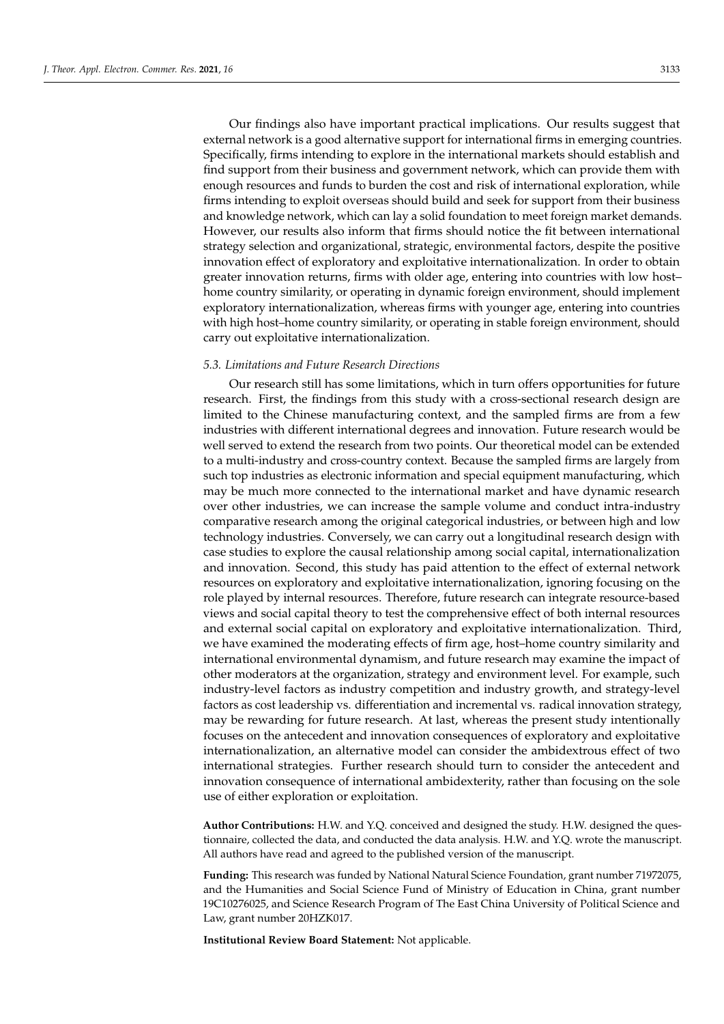Our findings also have important practical implications. Our results suggest that external network is a good alternative support for international firms in emerging countries. Specifically, firms intending to explore in the international markets should establish and find support from their business and government network, which can provide them with enough resources and funds to burden the cost and risk of international exploration, while firms intending to exploit overseas should build and seek for support from their business and knowledge network, which can lay a solid foundation to meet foreign market demands. However, our results also inform that firms should notice the fit between international strategy selection and organizational, strategic, environmental factors, despite the positive innovation effect of exploratory and exploitative internationalization. In order to obtain greater innovation returns, firms with older age, entering into countries with low host– home country similarity, or operating in dynamic foreign environment, should implement exploratory internationalization, whereas firms with younger age, entering into countries with high host–home country similarity, or operating in stable foreign environment, should carry out exploitative internationalization.

# *5.3. Limitations and Future Research Directions*

Our research still has some limitations, which in turn offers opportunities for future research. First, the findings from this study with a cross-sectional research design are limited to the Chinese manufacturing context, and the sampled firms are from a few industries with different international degrees and innovation. Future research would be well served to extend the research from two points. Our theoretical model can be extended to a multi-industry and cross-country context. Because the sampled firms are largely from such top industries as electronic information and special equipment manufacturing, which may be much more connected to the international market and have dynamic research over other industries, we can increase the sample volume and conduct intra-industry comparative research among the original categorical industries, or between high and low technology industries. Conversely, we can carry out a longitudinal research design with case studies to explore the causal relationship among social capital, internationalization and innovation. Second, this study has paid attention to the effect of external network resources on exploratory and exploitative internationalization, ignoring focusing on the role played by internal resources. Therefore, future research can integrate resource-based views and social capital theory to test the comprehensive effect of both internal resources and external social capital on exploratory and exploitative internationalization. Third, we have examined the moderating effects of firm age, host–home country similarity and international environmental dynamism, and future research may examine the impact of other moderators at the organization, strategy and environment level. For example, such industry-level factors as industry competition and industry growth, and strategy-level factors as cost leadership vs. differentiation and incremental vs. radical innovation strategy, may be rewarding for future research. At last, whereas the present study intentionally focuses on the antecedent and innovation consequences of exploratory and exploitative internationalization, an alternative model can consider the ambidextrous effect of two international strategies. Further research should turn to consider the antecedent and innovation consequence of international ambidexterity, rather than focusing on the sole use of either exploration or exploitation.

**Author Contributions:** H.W. and Y.Q. conceived and designed the study. H.W. designed the questionnaire, collected the data, and conducted the data analysis. H.W. and Y.Q. wrote the manuscript. All authors have read and agreed to the published version of the manuscript.

**Funding:** This research was funded by National Natural Science Foundation, grant number 71972075, and the Humanities and Social Science Fund of Ministry of Education in China, grant number 19C10276025, and Science Research Program of The East China University of Political Science and Law, grant number 20HZK017.

**Institutional Review Board Statement:** Not applicable.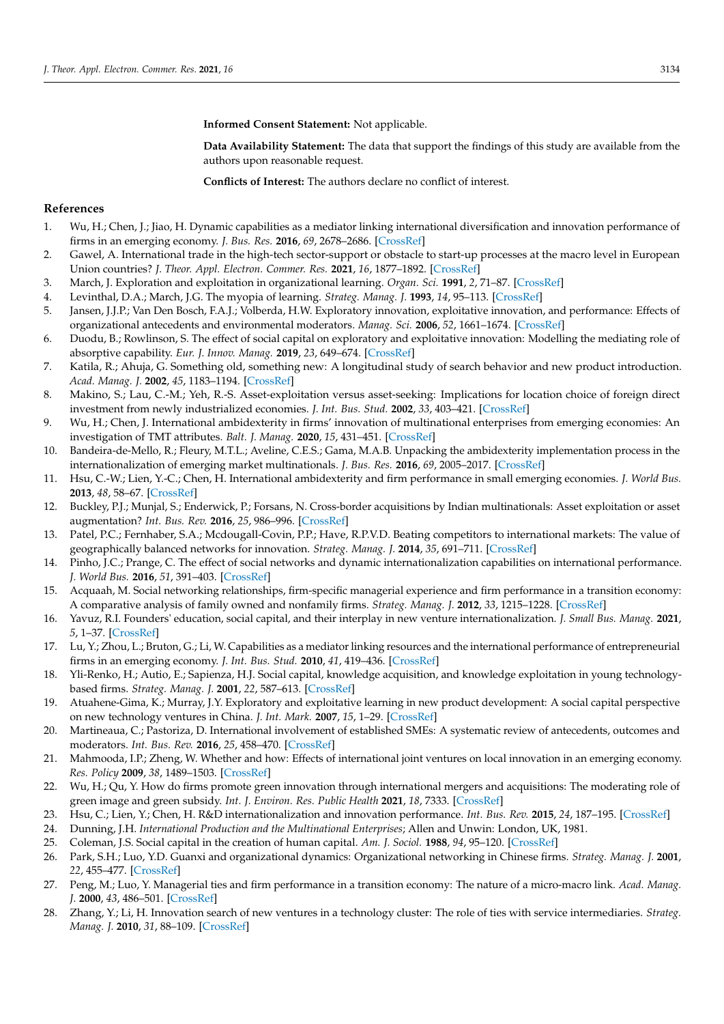**Informed Consent Statement:** Not applicable.

**Data Availability Statement:** The data that support the findings of this study are available from the authors upon reasonable request.

**Conflicts of Interest:** The authors declare no conflict of interest.

## **References**

- <span id="page-14-0"></span>1. Wu, H.; Chen, J.; Jiao, H. Dynamic capabilities as a mediator linking international diversification and innovation performance of firms in an emerging economy. *J. Bus. Res.* **2016**, *69*, 2678–2686. [\[CrossRef\]](http://doi.org/10.1016/j.jbusres.2015.11.003)
- <span id="page-14-1"></span>2. Gawel, A. International trade in the high-tech sector-support or obstacle to start-up processes at the macro level in European Union countries? *J. Theor. Appl. Electron. Commer. Res.* **2021**, *16*, 1877–1892. [\[CrossRef\]](http://doi.org/10.3390/jtaer16050105)
- <span id="page-14-2"></span>3. March, J. Exploration and exploitation in organizational learning. *Organ. Sci.* **1991**, *2*, 71–87. [\[CrossRef\]](http://doi.org/10.1287/orsc.2.1.71)
- <span id="page-14-3"></span>4. Levinthal, D.A.; March, J.G. The myopia of learning. *Strateg. Manag. J.* **1993**, *14*, 95–113. [\[CrossRef\]](http://doi.org/10.1002/smj.4250141009)
- <span id="page-14-4"></span>5. Jansen, J.J.P.; Van Den Bosch, F.A.J.; Volberda, H.W. Exploratory innovation, exploitative innovation, and performance: Effects of organizational antecedents and environmental moderators. *Manag. Sci.* **2006**, *52*, 1661–1674. [\[CrossRef\]](http://doi.org/10.1287/mnsc.1060.0576)
- <span id="page-14-5"></span>6. Duodu, B.; Rowlinson, S. The effect of social capital on exploratory and exploitative innovation: Modelling the mediating role of absorptive capability. *Eur. J. Innov. Manag.* **2019**, *23*, 649–674. [\[CrossRef\]](http://doi.org/10.1108/EJIM-08-2018-0178)
- <span id="page-14-6"></span>7. Katila, R.; Ahuja, G. Something old, something new: A longitudinal study of search behavior and new product introduction. *Acad. Manag. J.* **2002**, *45*, 1183–1194. [\[CrossRef\]](http://doi.org/10.2307/3069433)
- <span id="page-14-7"></span>8. Makino, S.; Lau, C.-M.; Yeh, R.-S. Asset-exploitation versus asset-seeking: Implications for location choice of foreign direct investment from newly industrialized economies. *J. Int. Bus. Stud.* **2002**, *33*, 403–421. [\[CrossRef\]](http://doi.org/10.1057/palgrave.jibs.8491024)
- <span id="page-14-9"></span>9. Wu, H.; Chen, J. International ambidexterity in firms' innovation of multinational enterprises from emerging economies: An investigation of TMT attributes. *Balt. J. Manag.* **2020**, *15*, 431–451. [\[CrossRef\]](http://doi.org/10.1108/BJM-07-2019-0267)
- <span id="page-14-8"></span>10. Bandeira-de-Mello, R.; Fleury, M.T.L.; Aveline, C.E.S.; Gama, M.A.B. Unpacking the ambidexterity implementation process in the internationalization of emerging market multinationals. *J. Bus. Res.* **2016**, *69*, 2005–2017. [\[CrossRef\]](http://doi.org/10.1016/j.jbusres.2015.10.146)
- <span id="page-14-10"></span>11. Hsu, C.-W.; Lien, Y.-C.; Chen, H. International ambidexterity and firm performance in small emerging economies. *J. World Bus.* **2013**, *48*, 58–67. [\[CrossRef\]](http://doi.org/10.1016/j.jwb.2012.06.007)
- <span id="page-14-11"></span>12. Buckley, P.J.; Munjal, S.; Enderwick, P.; Forsans, N. Cross-border acquisitions by Indian multinationals: Asset exploitation or asset augmentation? *Int. Bus. Rev.* **2016**, *25*, 986–996. [\[CrossRef\]](http://doi.org/10.1016/j.ibusrev.2015.10.006)
- <span id="page-14-12"></span>13. Patel, P.C.; Fernhaber, S.A.; Mcdougall-Covin, P.P.; Have, R.P.V.D. Beating competitors to international markets: The value of geographically balanced networks for innovation. *Strateg. Manag. J.* **2014**, *35*, 691–711. [\[CrossRef\]](http://doi.org/10.1002/smj.2114)
- <span id="page-14-13"></span>14. Pinho, J.C.; Prange, C. The effect of social networks and dynamic internationalization capabilities on international performance. *J. World Bus.* **2016**, *51*, 391–403. [\[CrossRef\]](http://doi.org/10.1016/j.jwb.2015.08.001)
- <span id="page-14-14"></span>15. Acquaah, M. Social networking relationships, firm-specific managerial experience and firm performance in a transition economy: A comparative analysis of family owned and nonfamily firms. *Strateg. Manag. J.* **2012**, *33*, 1215–1228. [\[CrossRef\]](http://doi.org/10.1002/smj.1973)
- <span id="page-14-15"></span>16. Yavuz, R.I. Founders' education, social capital, and their interplay in new venture internationalization. *J. Small Bus. Manag.* **2021**, *5*, 1–37. [\[CrossRef\]](http://doi.org/10.1080/00472778.2021.1913596)
- <span id="page-14-16"></span>17. Lu, Y.; Zhou, L.; Bruton, G.; Li, W. Capabilities as a mediator linking resources and the international performance of entrepreneurial firms in an emerging economy. *J. Int. Bus. Stud.* **2010**, *41*, 419–436. [\[CrossRef\]](http://doi.org/10.1057/jibs.2009.73)
- <span id="page-14-17"></span>18. Yli-Renko, H.; Autio, E.; Sapienza, H.J. Social capital, knowledge acquisition, and knowledge exploitation in young technologybased firms. *Strateg. Manag. J.* **2001**, *22*, 587–613. [\[CrossRef\]](http://doi.org/10.1002/smj.183)
- <span id="page-14-18"></span>19. Atuahene-Gima, K.; Murray, J.Y. Exploratory and exploitative learning in new product development: A social capital perspective on new technology ventures in China. *J. Int. Mark.* **2007**, *15*, 1–29. [\[CrossRef\]](http://doi.org/10.1509/jimk.15.2.1)
- <span id="page-14-19"></span>20. Martineaua, C.; Pastoriza, D. International involvement of established SMEs: A systematic review of antecedents, outcomes and moderators. *Int. Bus. Rev.* **2016**, *25*, 458–470. [\[CrossRef\]](http://doi.org/10.1016/j.ibusrev.2015.07.005)
- <span id="page-14-20"></span>21. Mahmooda, I.P.; Zheng, W. Whether and how: Effects of international joint ventures on local innovation in an emerging economy. *Res. Policy* **2009**, *38*, 1489–1503. [\[CrossRef\]](http://doi.org/10.1016/j.respol.2009.07.003)
- <span id="page-14-21"></span>22. Wu, H.; Qu, Y. How do firms promote green innovation through international mergers and acquisitions: The moderating role of green image and green subsidy. *Int. J. Environ. Res. Public Health* **2021**, *18*, 7333. [\[CrossRef\]](http://doi.org/10.3390/ijerph18147333)
- <span id="page-14-22"></span>23. Hsu, C.; Lien, Y.; Chen, H. R&D internationalization and innovation performance. *Int. Bus. Rev.* **2015**, *24*, 187–195. [\[CrossRef\]](http://doi.org/10.1016/j.ibusrev.2014.07.007)
- <span id="page-14-23"></span>24. Dunning, J.H. *International Production and the Multinational Enterprises*; Allen and Unwin: London, UK, 1981.
- <span id="page-14-24"></span>25. Coleman, J.S. Social capital in the creation of human capital. *Am. J. Sociol.* **1988**, *94*, 95–120. [\[CrossRef\]](http://doi.org/10.1086/228943)
- <span id="page-14-25"></span>26. Park, S.H.; Luo, Y.D. Guanxi and organizational dynamics: Organizational networking in Chinese firms. *Strateg. Manag. J.* **2001**, *22*, 455–477. [\[CrossRef\]](http://doi.org/10.1002/smj.167)
- <span id="page-14-26"></span>27. Peng, M.; Luo, Y. Managerial ties and firm performance in a transition economy: The nature of a micro-macro link. *Acad. Manag. J.* **2000**, *43*, 486–501. [\[CrossRef\]](http://doi.org/10.2307/1556406)
- <span id="page-14-27"></span>28. Zhang, Y.; Li, H. Innovation search of new ventures in a technology cluster: The role of ties with service intermediaries. *Strateg. Manag. J.* **2010**, *31*, 88–109. [\[CrossRef\]](http://doi.org/10.1002/smj.806)